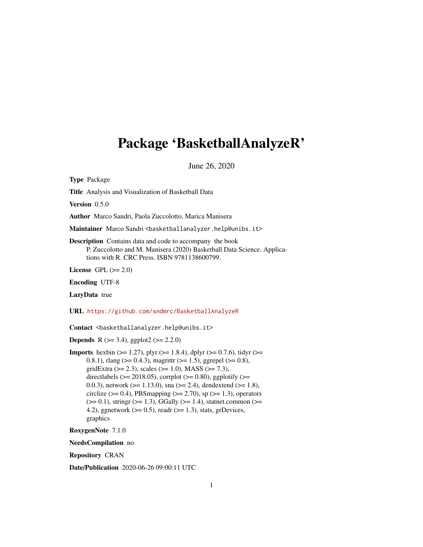# <span id="page-0-0"></span>Package 'BasketballAnalyzeR'

June 26, 2020

Type Package

Title Analysis and Visualization of Basketball Data

Version 0.5.0

Author Marco Sandri, Paola Zuccolotto, Marica Manisera

Maintainer Marco Sandri <br/>basketballanalyzer.help@unibs.it>

Description Contains data and code to accompany the book P. Zuccolotto and M. Manisera (2020) Basketball Data Science. Applications with R. CRC Press. ISBN 9781138600799.

License GPL  $(>= 2.0)$ 

Encoding UTF-8

LazyData true

URL <https://github.com/sndmrc/BasketballAnalyzeR>

Contact <br/>basketballanalyzer.help@unibs.it>

**Depends** R ( $>= 3.4$ ), ggplot2 ( $>= 2.2.0$ )

**Imports** hexbin ( $>= 1.27$ ), plyr ( $>= 1.8.4$ ), dplyr ( $>= 0.7.6$ ), tidyr ( $>= 1.8.4$ ) 0.8.1), rlang ( $> = 0.4.3$ ), magrittr ( $> = 1.5$ ), ggrepel ( $> = 0.8$ ), gridExtra ( $>= 2.3$ ), scales ( $>= 1.0$ ), MASS ( $>= 7.3$ ), directlabels ( $>= 2018.05$ ), corrplot ( $>= 0.80$ ), ggplotify ( $>=$ 0.0.3), network ( $>= 1.13.0$ ), sna ( $>= 2.4$ ), dendextend ( $>= 1.8$ ), circlize ( $> = 0.4$ ), PBSmapping ( $> = 2.70$ ), sp ( $> = 1.3$ ), operators  $(>= 0.1)$ , stringr  $(>= 1.3)$ , GGally  $(>= 1.4)$ , statnet.common  $(>= 1.4)$ 4.2), ggnetwork ( $>= 0.5$ ), readr ( $>= 1.3$ ), stats, grDevices, graphics

RoxygenNote 7.1.0

NeedsCompilation no

Repository CRAN

Date/Publication 2020-06-26 09:00:11 UTC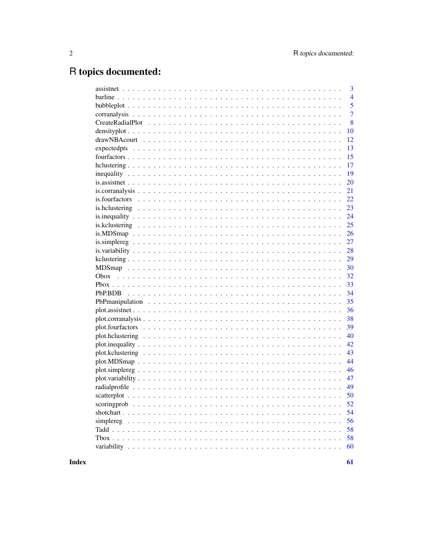# R topics documented:

| 3              |
|----------------|
| $\overline{4}$ |
| 5              |
| $\overline{7}$ |
| 8              |
| 10             |
| 12             |
| 13             |
| 15             |
| 17             |
| 19             |
| 20             |
| 21             |
| 22             |
| 23             |
| 24             |
| 25             |
| 26             |
| 27             |
| 28             |
| 29             |
| 30             |
| 32             |
| 33             |
| 34             |
| 35             |
| 36             |
| 38             |
| 39             |
| 40             |
| 42             |
| 43             |
| 44             |
| 46             |
| 47             |
| 49             |
| 50             |
| 52             |
| 54             |
| 56             |
| 58             |
| 58             |
| 60             |
|                |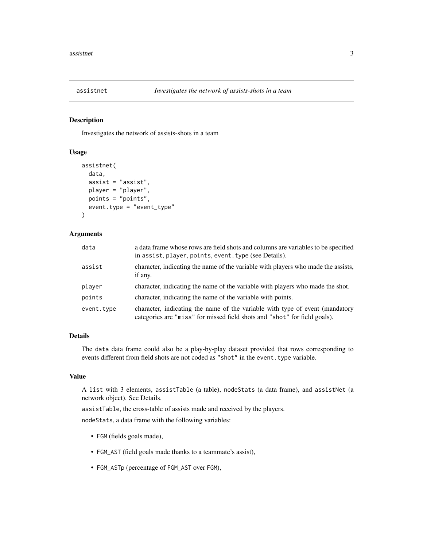<span id="page-2-1"></span><span id="page-2-0"></span>

Investigates the network of assists-shots in a team

### Usage

```
assistnet(
  data,
  assist = "assist",
  player = "player",
 points = "points",
  event.type = "event_type"
)
```
#### Arguments

| data       | a data frame whose rows are field shots and columns are variables to be specified<br>in assist, player, points, event. type (see Details).                |
|------------|-----------------------------------------------------------------------------------------------------------------------------------------------------------|
| assist     | character, indicating the name of the variable with players who made the assists,<br>if any.                                                              |
| player     | character, indicating the name of the variable with players who made the shot.                                                                            |
| points     | character, indicating the name of the variable with points.                                                                                               |
| event.type | character, indicating the name of the variable with type of event (mandatory<br>categories are "miss" for missed field shots and "shot" for field goals). |

### Details

The data data frame could also be a play-by-play dataset provided that rows corresponding to events different from field shots are not coded as "shot" in the event. type variable.

#### Value

A list with 3 elements, assistTable (a table), nodeStats (a data frame), and assistNet (a network object). See Details.

assistTable, the cross-table of assists made and received by the players.

nodeStats, a data frame with the following variables:

- FGM (fields goals made),
- FGM\_AST (field goals made thanks to a teammate's assist),
- FGM\_ASTp (percentage of FGM\_AST over FGM),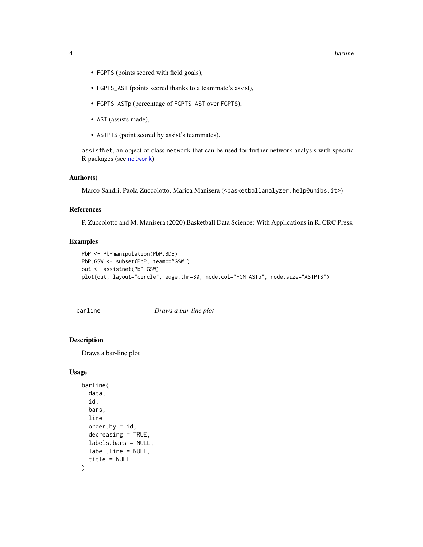#### <span id="page-3-0"></span>4 barline barline barline barline barline barline barline barline barline barline barline barline

- FGPTS (points scored with field goals),
- FGPTS\_AST (points scored thanks to a teammate's assist),
- FGPTS\_ASTp (percentage of FGPTS\_AST over FGPTS),
- AST (assists made),
- ASTPTS (point scored by assist's teammates).

assistNet, an object of class network that can be used for further network analysis with specific R packages (see [network](#page-0-0))

#### Author(s)

Marco Sandri, Paola Zuccolotto, Marica Manisera (<br/>basketballanalyzer.help@unibs.it>)

### References

P. Zuccolotto and M. Manisera (2020) Basketball Data Science: With Applications in R. CRC Press.

#### Examples

```
PbP <- PbPmanipulation(PbP.BDB)
PbP.GSW <- subset(PbP, team=="GSW")
out <- assistnet(PbP.GSW)
plot(out, layout="circle", edge.thr=30, node.col="FGM_ASTp", node.size="ASTPTS")
```
barline *Draws a bar-line plot*

### Description

Draws a bar-line plot

#### Usage

```
barline(
  data,
  id,
  bars,
  line,
  order.bv = id,
  decreasing = TRUE,
  labels.bars = NULL,
  label.line = NULL,
  title = NULL
)
```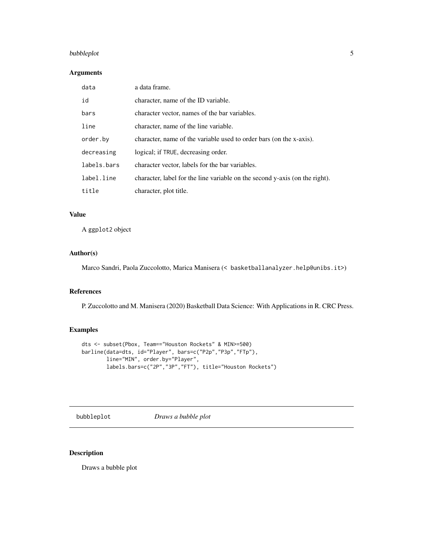### <span id="page-4-0"></span>bubbleplot 5

### Arguments

| data        | a data frame.                                                               |
|-------------|-----------------------------------------------------------------------------|
| id          | character, name of the ID variable.                                         |
| bars        | character vector, names of the bar variables.                               |
| line        | character, name of the line variable.                                       |
| order.by    | character, name of the variable used to order bars (on the x-axis).         |
| decreasing  | logical; if TRUE, decreasing order.                                         |
| labels.bars | character vector, labels for the bar variables.                             |
| label.line  | character, label for the line variable on the second y-axis (on the right). |
| title       | character, plot title.                                                      |

### Value

A ggplot2 object

#### Author(s)

Marco Sandri, Paola Zuccolotto, Marica Manisera (< basketballanalyzer.help@unibs.it>)

#### References

P. Zuccolotto and M. Manisera (2020) Basketball Data Science: With Applications in R. CRC Press.

### Examples

```
dts <- subset(Pbox, Team=="Houston Rockets" & MIN>=500)
barline(data=dts, id="Player", bars=c("P2p","P3p","FTp"),
       line="MIN", order.by="Player",
       labels.bars=c("2P","3P","FT"), title="Houston Rockets")
```
bubbleplot *Draws a bubble plot*

### Description

Draws a bubble plot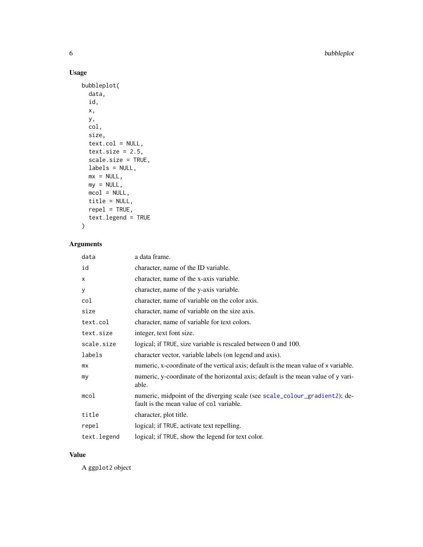### Usage

```
bubbleplot(
 data,
  id,
 x,
 y,
 col,
 size,
 text.col = NULL,
 text.size = 2.5,
  scale.size = TRUE,
 labels = NULL,
 mx = NULL,my = NULL,mcol = NULL,title = NULL,
 repel = TRUE,text.legend = TRUE
\mathcal{L}
```
### Arguments

| data        | a data frame.                                                                                                          |
|-------------|------------------------------------------------------------------------------------------------------------------------|
| id          | character, name of the ID variable.                                                                                    |
| X           | character, name of the x-axis variable.                                                                                |
| У           | character, name of the y-axis variable.                                                                                |
| col         | character, name of variable on the color axis.                                                                         |
| size        | character, name of variable on the size axis.                                                                          |
| text.col    | character, name of variable for text colors.                                                                           |
| text.size   | integer, text font size.                                                                                               |
| scale.size  | logical; if TRUE, size variable is rescaled between 0 and 100.                                                         |
| labels      | character vector, variable labels (on legend and axis).                                                                |
| mx          | numeric, x-coordinate of the vertical axis; default is the mean value of x variable.                                   |
| my          | numeric, y-coordinate of the horizontal axis; default is the mean value of y vari-<br>able.                            |
| mcol        | numeric, midpoint of the diverging scale (see scale_colour_gradient2); de-<br>fault is the mean value of col variable. |
| title       | character, plot title.                                                                                                 |
| repel       | logical; if TRUE, activate text repelling.                                                                             |
| text.legend | logical; if TRUE, show the legend for text color.                                                                      |

### Value

A ggplot2 object

<span id="page-5-0"></span>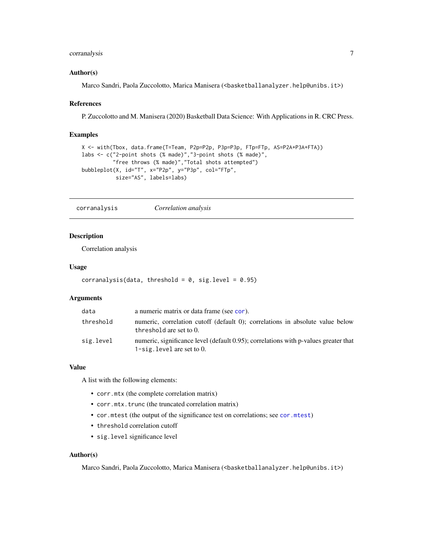### <span id="page-6-0"></span>corranalysis 7

#### Author(s)

Marco Sandri, Paola Zuccolotto, Marica Manisera (<br/>basketballanalyzer.help@unibs.it>)

#### References

P. Zuccolotto and M. Manisera (2020) Basketball Data Science: With Applications in R. CRC Press.

#### Examples

```
X <- with(Tbox, data.frame(T=Team, P2p=P2p, P3p=P3p, FTp=FTp, AS=P2A+P3A+FTA))
labs <- c("2-point shots (% made)","3-point shots (% made)",
          "free throws (% made)","Total shots attempted")
bubbleplot(X, id="T", x="P2p", y="P3p", col="FTp",
           size="AS", labels=labs)
```
<span id="page-6-1"></span>corranalysis *Correlation analysis*

#### Description

Correlation analysis

#### Usage

```
corranalysis(data, threshold = 0, sig.level = 0.95)
```
#### Arguments

| data      | a numeric matrix or data frame (see cor).                                                                            |
|-----------|----------------------------------------------------------------------------------------------------------------------|
| threshold | numeric, correlation cutoff (default 0); correlations in absolute value below<br>threshold are set to 0.             |
| sig.level | numeric, significance level (default 0.95); correlations with p-values greater that<br>1-sig. level are set to $0$ . |

#### Value

A list with the following elements:

- corr.mtx (the complete correlation matrix)
- corr.mtx.trunc (the truncated correlation matrix)
- cor.mtest (the output of the significance test on correlations; see [cor.mtest](#page-0-0))
- threshold correlation cutoff
- sig.level significance level

#### Author(s)

Marco Sandri, Paola Zuccolotto, Marica Manisera (<br/>basketballanalyzer.help@unibs.it>)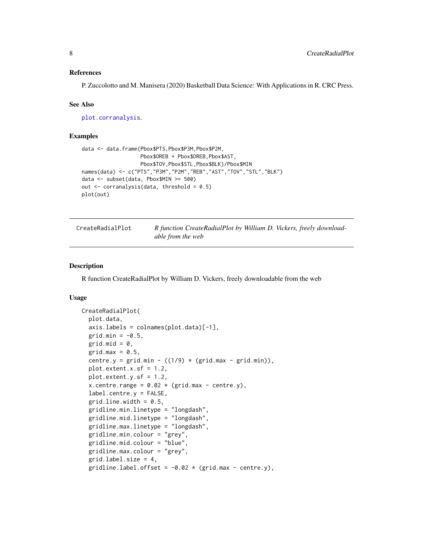#### <span id="page-7-0"></span>References

P. Zuccolotto and M. Manisera (2020) Basketball Data Science: With Applications in R. CRC Press.

#### See Also

[plot.corranalysis](#page-37-1).

### Examples

```
data <- data.frame(Pbox$PTS,Pbox$P3M,Pbox$P2M,
                   Pbox$OREB + Pbox$DREB,Pbox$AST,
                   Pbox$TOV,Pbox$STL,Pbox$BLK)/Pbox$MIN
names(data) <- c("PTS","P3M","P2M","REB","AST","TOV","STL","BLK")
data <- subset(data, Pbox$MIN >= 500)
out \leq corranalysis(data, threshold = 0.5)
plot(out)
```

| CreateRadialPlot | R function CreateRadialPlot by William D. Vickers, freely download- |  |  |
|------------------|---------------------------------------------------------------------|--|--|
|                  | able from the web                                                   |  |  |

### Description

R function CreateRadialPlot by William D. Vickers, freely downloadable from the web

#### Usage

```
CreateRadialPlot(
  plot.data,
  axis.labels = colnames(plot.data)[-1],
  grid.min = -0.5,grid.mid = 0,
  grid.max = 0.5,
  centre.y = grid.min - ((1/9) * (grid.max - grid.min)),plot.extent.x.sf = 1.2,
  plot.extent.y.sf = 1.2,
  x.centre.range = 0.02 \times (grid.max - centre.y),
  label.centre.y = FALSE,
  grid.line.width = 0.5,
  gridline.min.linetype = "longdash",
  gridline.mid.linetype = "longdash",
  gridline.max.linetype = "longdash",
  gridline.min.colour = "grey",
  gridline.mid.colour = "blue",
  gridline.max.colour = "grey",
  grid.label.size = 4,
  gridline.label.offset = -0.02 \times (grid.max - centre.y),
```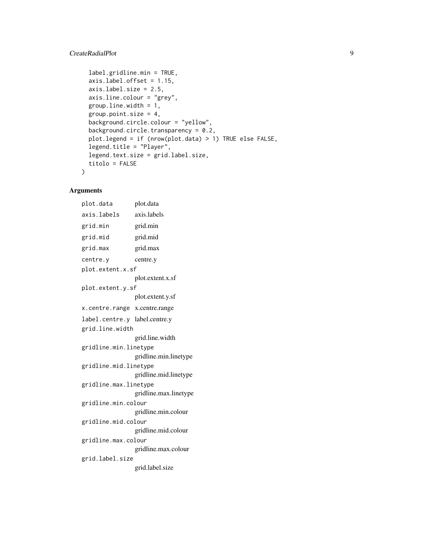### CreateRadialPlot 9

```
label.gridline.min = TRUE,
  axis.label.offset = 1.15,
  axis.label.size = 2.5,
  axis.line.colour = "grey",
  group.line.width = 1,
  group.point.size = 4,
  background.circle.colour = "yellow",
  background.circle.transparency = 0.2,
  plot.legend = if (nrow(plot.data) > 1) TRUE else FALSE,
  legend.title = "Player",
  legend.text.size = grid.label.size,
  titolo = FALSE
)
```
### Arguments

plot.data plot.data axis.labels axis.labels grid.min grid.min grid.mid grid.mid grid.max grid.max centre.y centre.y plot.extent.x.sf plot.extent.x.sf plot.extent.y.sf plot.extent.y.sf x.centre.range x.centre.range label.centre.y label.centre.y grid.line.width grid.line.width gridline.min.linetype gridline.min.linetype gridline.mid.linetype gridline.mid.linetype gridline.max.linetype gridline.max.linetype gridline.min.colour gridline.min.colour gridline.mid.colour gridline.mid.colour gridline.max.colour gridline.max.colour grid.label.size grid.label.size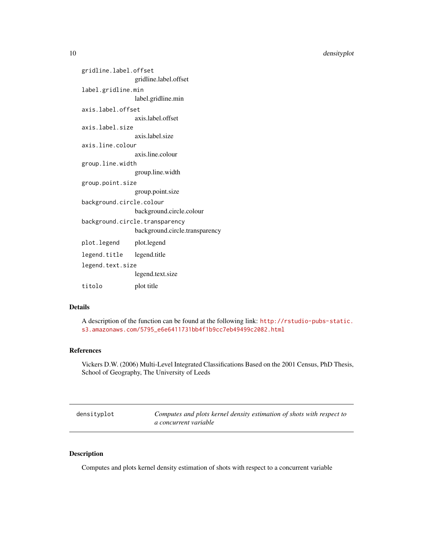```
gridline.label.offset
                gridline.label.offset
label.gridline.min
                label.gridline.min
axis.label.offset
                axis.label.offset
axis.label.size
                axis.label.size
axis.line.colour
                axis.line.colour
group.line.width
                 group.line.width
group.point.size
                group.point.size
background.circle.colour
                background.circle.colour
background.circle.transparency
                background.circle.transparency
plot.legend plot.legend
legend.title legend.title
legend.text.size
                legend.text.size
titolo plot title
```
### Details

A description of the function can be found at the following link: [http://rstudio-pubs-static.](http://rstudio-pubs-static.s3.amazonaws.com/5795_e6e6411731bb4f1b9cc7eb49499c2082.html) [s3.amazonaws.com/5795\\_e6e6411731bb4f1b9cc7eb49499c2082.html](http://rstudio-pubs-static.s3.amazonaws.com/5795_e6e6411731bb4f1b9cc7eb49499c2082.html)

#### References

Vickers D.W. (2006) Multi-Level Integrated Classifications Based on the 2001 Census, PhD Thesis, School of Geography, The University of Leeds

| densityplot | Computes and plots kernel density estimation of shots with respect to |
|-------------|-----------------------------------------------------------------------|
|             | a concurrent variable                                                 |

#### Description

Computes and plots kernel density estimation of shots with respect to a concurrent variable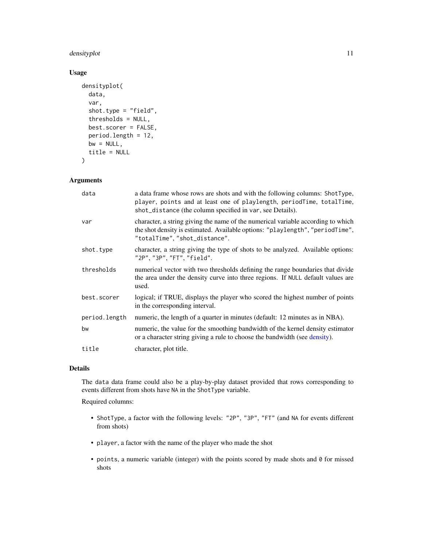### <span id="page-10-0"></span>densityplot 11

### Usage

```
densityplot(
  data,
  var,
  shot.type = "field",
  thresholds = NULL,
  best.scorer = FALSE,
 period.length = 12,
 bw = NULL,title = NULL
)
```
#### Arguments

| data          | a data frame whose rows are shots and with the following columns: ShotType,<br>player, points and at least one of playlength, periodTime, totalTime,<br>shot_distance (the column specified in var, see Details). |
|---------------|-------------------------------------------------------------------------------------------------------------------------------------------------------------------------------------------------------------------|
| var           | character, a string giving the name of the numerical variable according to which<br>the shot density is estimated. Available options: "playlength", "periodTime",<br>"totalTime", "shot_distance".                |
| shot.type     | character, a string giving the type of shots to be analyzed. Available options:<br>"2P", "3P", "FT", "field".                                                                                                     |
| thresholds    | numerical vector with two thresholds defining the range boundaries that divide<br>the area under the density curve into three regions. If NULL default values are<br>used.                                        |
| best.scorer   | logical; if TRUE, displays the player who scored the highest number of points<br>in the corresponding interval.                                                                                                   |
| period.length | numeric, the length of a quarter in minutes (default: 12 minutes as in NBA).                                                                                                                                      |
| bw            | numeric, the value for the smoothing bandwidth of the kernel density estimator<br>or a character string giving a rule to choose the bandwidth (see density).                                                      |
| title         | character, plot title.                                                                                                                                                                                            |

### Details

The data data frame could also be a play-by-play dataset provided that rows corresponding to events different from shots have NA in the ShotType variable.

Required columns:

- ShotType, a factor with the following levels: "2P", "3P", "FT" (and NA for events different from shots)
- player, a factor with the name of the player who made the shot
- points, a numeric variable (integer) with the points scored by made shots and 0 for missed shots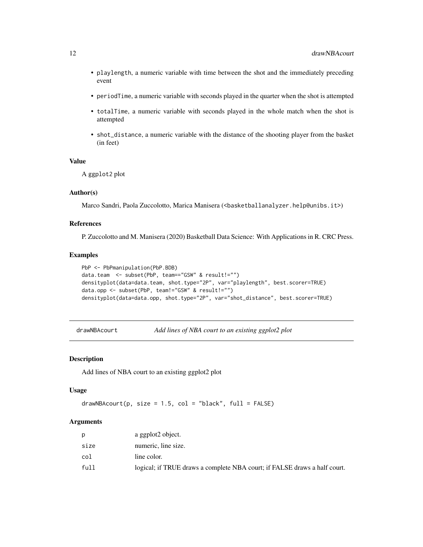- <span id="page-11-0"></span>• playlength, a numeric variable with time between the shot and the immediately preceding event
- periodTime, a numeric variable with seconds played in the quarter when the shot is attempted
- totalTime, a numeric variable with seconds played in the whole match when the shot is attempted
- shot\_distance, a numeric variable with the distance of the shooting player from the basket (in feet)

### Value

A ggplot2 plot

#### Author(s)

Marco Sandri, Paola Zuccolotto, Marica Manisera (<basketballanalyzer.help@unibs.it>)

### References

P. Zuccolotto and M. Manisera (2020) Basketball Data Science: With Applications in R. CRC Press.

#### Examples

```
PbP <- PbPmanipulation(PbP.BDB)
data.team <- subset(PbP, team=="GSW" & result!="")
densityplot(data=data.team, shot.type="2P", var="playlength", best.scorer=TRUE)
data.opp <- subset(PbP, team!="GSW" & result!="")
densityplot(data=data.opp, shot.type="2P", var="shot_distance", best.scorer=TRUE)
```
<span id="page-11-1"></span>drawNBAcourt *Add lines of NBA court to an existing ggplot2 plot*

#### Description

Add lines of NBA court to an existing ggplot2 plot

#### Usage

```
drawNBAccount(p, size = 1.5, col = "black", full = FALSE)
```
### Arguments

| D    | a ggplot2 object.                                                         |
|------|---------------------------------------------------------------------------|
| size | numeric, line size.                                                       |
| col  | line color.                                                               |
| full | logical; if TRUE draws a complete NBA court; if FALSE draws a half court. |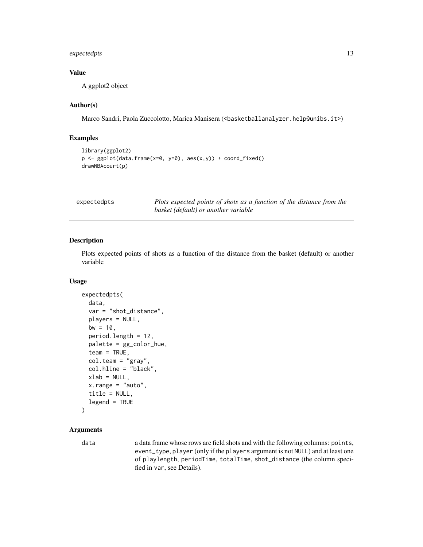### <span id="page-12-0"></span>expectedpts 13

### Value

A ggplot2 object

### Author(s)

Marco Sandri, Paola Zuccolotto, Marica Manisera (<br/>basketballanalyzer.help@unibs.it>)

#### Examples

```
library(ggplot2)
p <- ggplot(data.frame(x=0, y=0), aes(x,y)) + coord_fixed()
drawNBAcourt(p)
```

| expectedpts |  |  |  |
|-------------|--|--|--|
|-------------|--|--|--|

Plots expected points of shots as a function of the distance from the *basket (default) or another variable*

### Description

Plots expected points of shots as a function of the distance from the basket (default) or another variable

### Usage

```
expectedpts(
  data,
  var = "shot_distance",
 players = NULL,
 bw = 10,
 period.length = 12,
 palette = gg_color_hue,
  team = TRUE,
  col.team = "gray",
  col.hline = "black",
  xlab = NULL,
  x.range = "auto",
  title = NULL,
  legend = TRUE
)
```
### Arguments

data a data frame whose rows are field shots and with the following columns: points, event\_type, player (only if the players argument is not NULL) and at least one of playlength, periodTime, totalTime, shot\_distance (the column specified in var, see Details).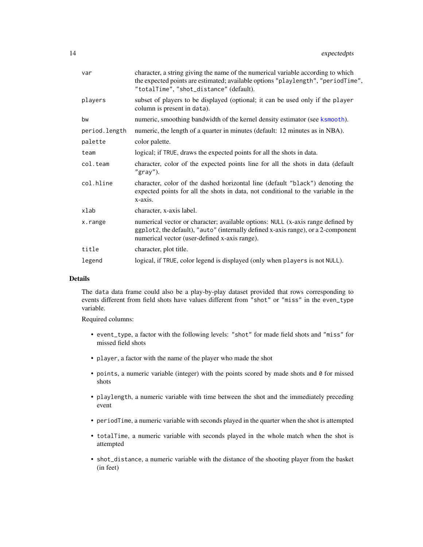<span id="page-13-0"></span>

| var           | character, a string giving the name of the numerical variable according to which<br>the expected points are estimated; available options "playlength", "periodTime",<br>"totalTime", "shot_distance" (default).       |  |
|---------------|-----------------------------------------------------------------------------------------------------------------------------------------------------------------------------------------------------------------------|--|
| players       | subset of players to be displayed (optional; it can be used only if the player<br>column is present in data).                                                                                                         |  |
| bw            | numeric, smoothing bandwidth of the kernel density estimator (see ksmooth).                                                                                                                                           |  |
| period.length | numeric, the length of a quarter in minutes (default: 12 minutes as in NBA).                                                                                                                                          |  |
| palette       | color palette.                                                                                                                                                                                                        |  |
| team          | logical; if TRUE, draws the expected points for all the shots in data.                                                                                                                                                |  |
| col.team      | character, color of the expected points line for all the shots in data (default<br>$"gray"$ ).                                                                                                                        |  |
| col.hline     | character, color of the dashed horizontal line (default "black") denoting the<br>expected points for all the shots in data, not conditional to the variable in the<br>x-axis.                                         |  |
| xlab          | character, x-axis label.                                                                                                                                                                                              |  |
| x.range       | numerical vector or character; available options: NULL (x-axis range defined by<br>ggplot2, the default), "auto" (internally defined x-axis range), or a 2-component<br>numerical vector (user-defined x-axis range). |  |
| title         | character, plot title.                                                                                                                                                                                                |  |
| legend        | logical, if TRUE, color legend is displayed (only when players is not NULL).                                                                                                                                          |  |

#### Details

The data data frame could also be a play-by-play dataset provided that rows corresponding to events different from field shots have values different from "shot" or "miss" in the even\_type variable.

Required columns:

- event\_type, a factor with the following levels: "shot" for made field shots and "miss" for missed field shots
- player, a factor with the name of the player who made the shot
- points, a numeric variable (integer) with the points scored by made shots and 0 for missed shots
- playlength, a numeric variable with time between the shot and the immediately preceding event
- periodTime, a numeric variable with seconds played in the quarter when the shot is attempted
- totalTime, a numeric variable with seconds played in the whole match when the shot is attempted
- shot\_distance, a numeric variable with the distance of the shooting player from the basket (in feet)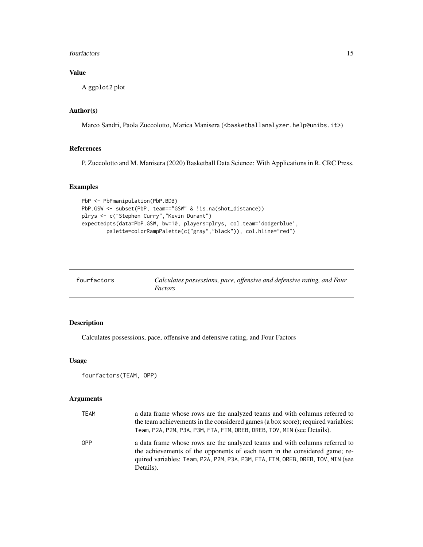#### <span id="page-14-0"></span>fourfactors and the set of the set of the set of the set of the set of the set of the set of the set of the set of the set of the set of the set of the set of the set of the set of the set of the set of the set of the set

### Value

A ggplot2 plot

### Author(s)

Marco Sandri, Paola Zuccolotto, Marica Manisera (<br/>basketballanalyzer.help@unibs.it>)

### References

P. Zuccolotto and M. Manisera (2020) Basketball Data Science: With Applications in R. CRC Press.

### Examples

```
PbP <- PbPmanipulation(PbP.BDB)
PbP.GSW <- subset(PbP, team=="GSW" & !is.na(shot_distance))
plrys <- c("Stephen Curry","Kevin Durant")
expectedpts(data=PbP.GSW, bw=10, players=plrys, col.team='dodgerblue',
        palette=colorRampPalette(c("gray","black")), col.hline="red")
```
<span id="page-14-1"></span>

| fourfactors | Calculates possessions, pace, offensive and defensive rating, and Four |
|-------------|------------------------------------------------------------------------|
|             | Factors                                                                |

### Description

Calculates possessions, pace, offensive and defensive rating, and Four Factors

### Usage

```
fourfactors(TEAM, OPP)
```
### Arguments

| <b>TEAM</b> | a data frame whose rows are the analyzed teams and with columns referred to<br>the team achievements in the considered games (a box score); required variables:<br>Team, P2A, P2M, P3A, P3M, FTA, FTM, OREB, DREB, TOV, MIN (see Details).                |
|-------------|-----------------------------------------------------------------------------------------------------------------------------------------------------------------------------------------------------------------------------------------------------------|
| <b>OPP</b>  | a data frame whose rows are the analyzed teams and with columns referred to<br>the achievements of the opponents of each team in the considered game; re-<br>quired variables: Team, P2A, P2M, P3A, P3M, FTA, FTM, OREB, DREB, TOV, MIN (see<br>Details). |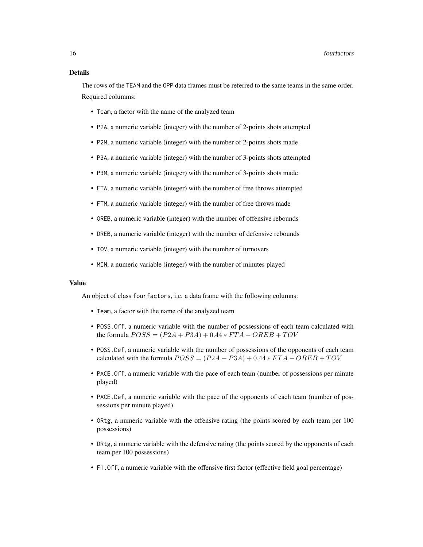### Details

The rows of the TEAM and the OPP data frames must be referred to the same teams in the same order. Required columms:

- Team, a factor with the name of the analyzed team
- P2A, a numeric variable (integer) with the number of 2-points shots attempted
- P2M, a numeric variable (integer) with the number of 2-points shots made
- P3A, a numeric variable (integer) with the number of 3-points shots attempted
- P3M, a numeric variable (integer) with the number of 3-points shots made
- FTA, a numeric variable (integer) with the number of free throws attempted
- FTM, a numeric variable (integer) with the number of free throws made
- OREB, a numeric variable (integer) with the number of offensive rebounds
- DREB, a numeric variable (integer) with the number of defensive rebounds
- TOV, a numeric variable (integer) with the number of turnovers
- MIN, a numeric variable (integer) with the number of minutes played

#### Value

An object of class fourfactors, i.e. a data frame with the following columns:

- Team, a factor with the name of the analyzed team
- POSS.Off, a numeric variable with the number of possessions of each team calculated with the formula  $POSS = (P2A + P3A) + 0.44 * FTA -OREB + TOV$
- POSS.Def, a numeric variable with the number of possessions of the opponents of each team calculated with the formula  $POSS = (P2A + P3A) + 0.44 * FTA -OREB + TOV$
- PACE.Off, a numeric variable with the pace of each team (number of possessions per minute played)
- PACE.Def, a numeric variable with the pace of the opponents of each team (number of possessions per minute played)
- ORtg, a numeric variable with the offensive rating (the points scored by each team per 100 possessions)
- DRtg, a numeric variable with the defensive rating (the points scored by the opponents of each team per 100 possessions)
- F1.Off, a numeric variable with the offensive first factor (effective field goal percentage)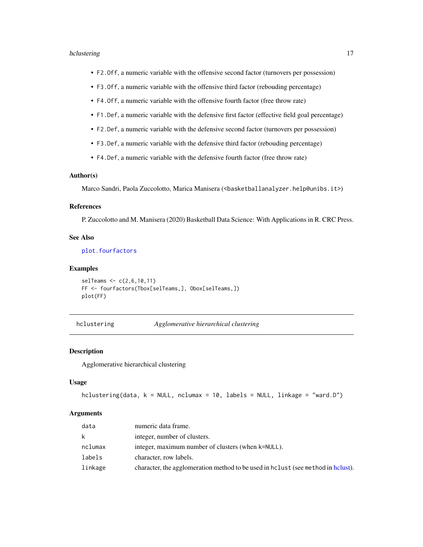#### <span id="page-16-0"></span>hclustering the contract of the contract of the contract of the contract of the contract of the contract of the contract of the contract of the contract of the contract of the contract of the contract of the contract of th

- F2.Off, a numeric variable with the offensive second factor (turnovers per possession)
- F3.Off, a numeric variable with the offensive third factor (rebouding percentage)
- F4.Off, a numeric variable with the offensive fourth factor (free throw rate)
- F1.Def, a numeric variable with the defensive first factor (effective field goal percentage)
- F2.Def, a numeric variable with the defensive second factor (turnovers per possession)
- F3.Def, a numeric variable with the defensive third factor (rebouding percentage)
- F4.Def, a numeric variable with the defensive fourth factor (free throw rate)

#### Author(s)

Marco Sandri, Paola Zuccolotto, Marica Manisera (<br/>basketballanalyzer.help@unibs.it>)

#### References

P. Zuccolotto and M. Manisera (2020) Basketball Data Science: With Applications in R. CRC Press.

### See Also

[plot.fourfactors](#page-38-1)

#### Examples

```
selTeams <- c(2,6,10,11)
FF <- fourfactors(Tbox[selTeams,], Obox[selTeams,])
plot(FF)
```
<span id="page-16-1"></span>hclustering *Agglomerative hierarchical clustering*

### Description

Agglomerative hierarchical clustering

#### Usage

```
hclustering(data, k = NULL, nclumax = 10, labels = NULL, linkage = "ward.D")
```
#### Arguments

| data         | numeric data frame.                                                              |
|--------------|----------------------------------------------------------------------------------|
| $\mathsf{k}$ | integer, number of clusters.                                                     |
| nclumax      | integer, maximum number of clusters (when k=NULL).                               |
| labels       | character, row labels.                                                           |
| linkage      | character, the agglomeration method to be used in holyst (see method in holyst). |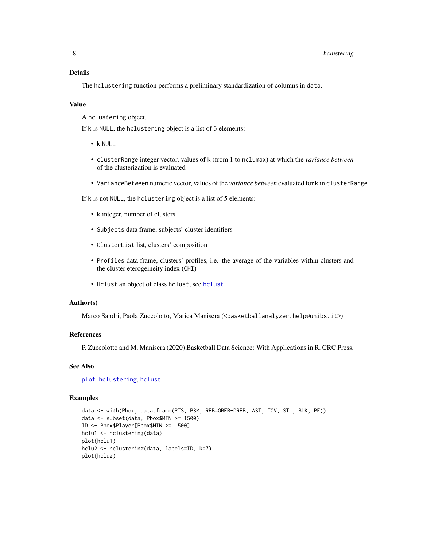### Details

The hclustering function performs a preliminary standardization of columns in data.

#### Value

A hclustering object.

If k is NULL, the hclustering object is a list of 3 elements:

- k NULL
- clusterRange integer vector, values of k (from 1 to nclumax) at which the *variance between* of the clusterization is evaluated
- VarianceBetween numeric vector, values of the *variance between* evaluated for k in clusterRange

If k is not NULL, the hclustering object is a list of 5 elements:

- k integer, number of clusters
- Subjects data frame, subjects' cluster identifiers
- ClusterList list, clusters' composition
- Profiles data frame, clusters' profiles, i.e. the average of the variables within clusters and the cluster eterogeineity index (CHI)
- Hclust an object of class hclust, see [hclust](#page-0-0)

#### Author(s)

Marco Sandri, Paola Zuccolotto, Marica Manisera (<br/>basketballanalyzer.help@unibs.it>)

### References

P. Zuccolotto and M. Manisera (2020) Basketball Data Science: With Applications in R. CRC Press.

#### See Also

[plot.hclustering](#page-39-1), [hclust](#page-0-0)

```
data <- with(Pbox, data.frame(PTS, P3M, REB=OREB+DREB, AST, TOV, STL, BLK, PF))
data <- subset(data, Pbox$MIN >= 1500)
ID <- Pbox$Player[Pbox$MIN >= 1500]
hclu1 <- hclustering(data)
plot(hclu1)
hclu2 <- hclustering(data, labels=ID, k=7)
plot(hclu2)
```
<span id="page-17-0"></span>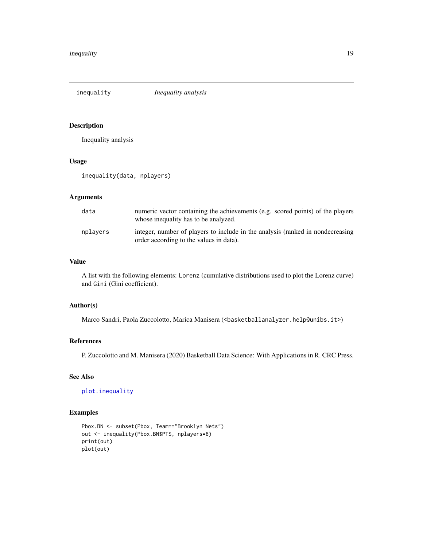<span id="page-18-1"></span><span id="page-18-0"></span>inequality *Inequality analysis*

### Description

Inequality analysis

#### Usage

inequality(data, nplayers)

### Arguments

| data     | numeric vector containing the achievements (e.g. scored points) of the players<br>whose inequality has to be analyzed.    |
|----------|---------------------------------------------------------------------------------------------------------------------------|
| nplavers | integer, number of players to include in the analysis (ranked in nondecreasing<br>order according to the values in data). |

### Value

A list with the following elements: Lorenz (cumulative distributions used to plot the Lorenz curve) and Gini (Gini coefficient).

### Author(s)

Marco Sandri, Paola Zuccolotto, Marica Manisera (<br/>basketballanalyzer.help@unibs.it>)

### References

P. Zuccolotto and M. Manisera (2020) Basketball Data Science: With Applications in R. CRC Press.

### See Also

[plot.inequality](#page-41-1)

```
Pbox.BN <- subset(Pbox, Team=="Brooklyn Nets")
out <- inequality(Pbox.BN$PTS, nplayers=8)
print(out)
plot(out)
```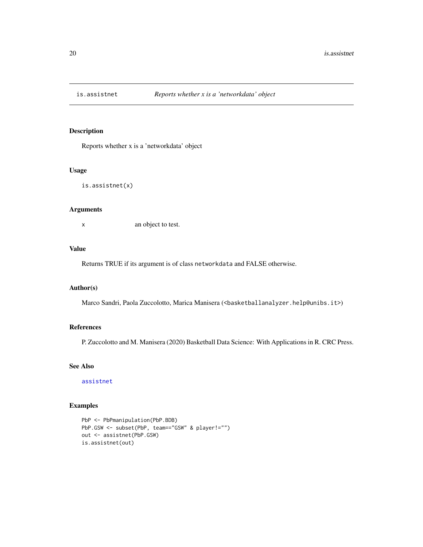<span id="page-19-0"></span>

Reports whether x is a 'networkdata' object

#### Usage

```
is.assistnet(x)
```
#### Arguments

x an object to test.

### Value

Returns TRUE if its argument is of class networkdata and FALSE otherwise.

#### Author(s)

Marco Sandri, Paola Zuccolotto, Marica Manisera (<br/>basketballanalyzer.help@unibs.it>)

### References

P. Zuccolotto and M. Manisera (2020) Basketball Data Science: With Applications in R. CRC Press.

#### See Also

[assistnet](#page-2-1)

```
PbP <- PbPmanipulation(PbP.BDB)
PbP.GSW <- subset(PbP, team=="GSW" & player!="")
out <- assistnet(PbP.GSW)
is.assistnet(out)
```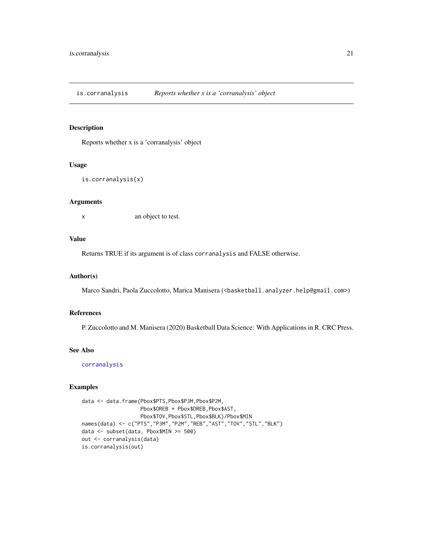<span id="page-20-0"></span>is.corranalysis *Reports whether x is a 'corranalysis' object*

#### Description

Reports whether x is a 'corranalysis' object

#### Usage

```
is.corranalysis(x)
```
### Arguments

x an object to test.

#### Value

Returns TRUE if its argument is of class corranalysis and FALSE otherwise.

### Author(s)

Marco Sandri, Paola Zuccolotto, Marica Manisera (<br/>basketball.analyzer.help@gmail.com>)

### References

P. Zuccolotto and M. Manisera (2020) Basketball Data Science: With Applications in R. CRC Press.

### See Also

[corranalysis](#page-6-1)

```
data <- data.frame(Pbox$PTS,Pbox$P3M,Pbox$P2M,
                   Pbox$OREB + Pbox$DREB,Pbox$AST,
                   Pbox$TOV,Pbox$STL,Pbox$BLK)/Pbox$MIN
names(data) <- c("PTS","P3M","P2M","REB","AST","TOV","STL","BLK")
data <- subset(data, Pbox$MIN >= 500)
out <- corranalysis(data)
is.corranalysis(out)
```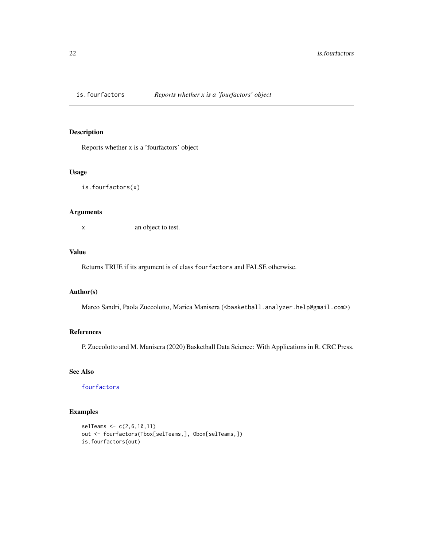<span id="page-21-0"></span>

Reports whether x is a 'fourfactors' object

#### Usage

is.fourfactors(x)

### Arguments

x an object to test.

#### Value

Returns TRUE if its argument is of class fourfactors and FALSE otherwise.

### Author(s)

Marco Sandri, Paola Zuccolotto, Marica Manisera (<br/>basketball.analyzer.help@gmail.com>)

#### References

P. Zuccolotto and M. Manisera (2020) Basketball Data Science: With Applications in R. CRC Press.

### See Also

[fourfactors](#page-14-1)

```
selTeams <- c(2,6,10,11)
out <- fourfactors(Tbox[selTeams,], Obox[selTeams,])
is.fourfactors(out)
```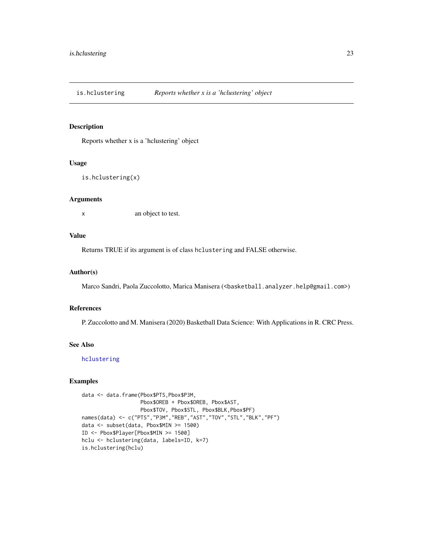<span id="page-22-0"></span>

Reports whether x is a 'hclustering' object

#### Usage

```
is.hclustering(x)
```
### Arguments

x an object to test.

### Value

Returns TRUE if its argument is of class hclustering and FALSE otherwise.

#### Author(s)

Marco Sandri, Paola Zuccolotto, Marica Manisera (<br/>basketball.analyzer.help@gmail.com>)

#### References

P. Zuccolotto and M. Manisera (2020) Basketball Data Science: With Applications in R. CRC Press.

#### See Also

[hclustering](#page-16-1)

```
data <- data.frame(Pbox$PTS,Pbox$P3M,
                   Pbox$OREB + Pbox$DREB, Pbox$AST,
                   Pbox$TOV, Pbox$STL, Pbox$BLK,Pbox$PF)
names(data) <- c("PTS","P3M","REB","AST","TOV","STL","BLK","PF")
data <- subset(data, Pbox$MIN >= 1500)
ID <- Pbox$Player[Pbox$MIN >= 1500]
hclu <- hclustering(data, labels=ID, k=7)
is.hclustering(hclu)
```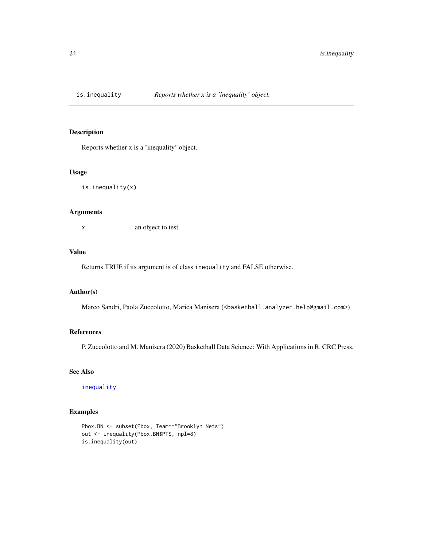<span id="page-23-0"></span>

Reports whether x is a 'inequality' object.

#### Usage

is.inequality(x)

### Arguments

x an object to test.

### Value

Returns TRUE if its argument is of class inequality and FALSE otherwise.

### Author(s)

Marco Sandri, Paola Zuccolotto, Marica Manisera (<br/>basketball.analyzer.help@gmail.com>)

### References

P. Zuccolotto and M. Manisera (2020) Basketball Data Science: With Applications in R. CRC Press.

### See Also

[inequality](#page-18-1)

```
Pbox.BN <- subset(Pbox, Team=="Brooklyn Nets")
out <- inequality(Pbox.BN$PTS, npl=8)
is.inequality(out)
```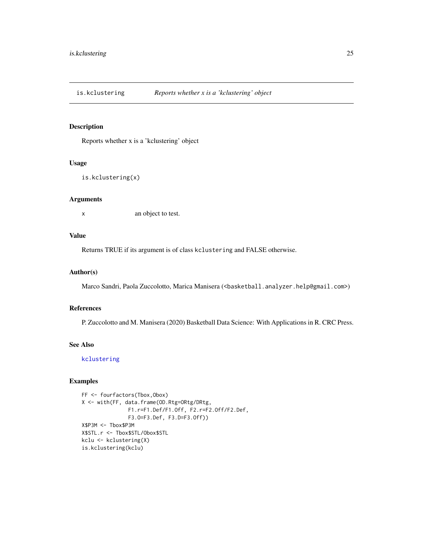<span id="page-24-0"></span>is.kclustering *Reports whether x is a 'kclustering' object*

### Description

Reports whether x is a 'kclustering' object

### Usage

```
is.kclustering(x)
```
### Arguments

x an object to test.

### Value

Returns TRUE if its argument is of class kclustering and FALSE otherwise.

### Author(s)

Marco Sandri, Paola Zuccolotto, Marica Manisera (<br/>basketball.analyzer.help@gmail.com>)

#### References

P. Zuccolotto and M. Manisera (2020) Basketball Data Science: With Applications in R. CRC Press.

#### See Also

[kclustering](#page-28-1)

```
FF <- fourfactors(Tbox,Obox)
X <- with(FF, data.frame(OD.Rtg=ORtg/DRtg,
               F1.r=F1.Def/F1.Off, F2.r=F2.Off/F2.Def,
               F3.O=F3.Def, F3.D=F3.Off))
X$P3M <- Tbox$P3M
X$STL.r <- Tbox$STL/Obox$STL
kclu <- kclustering(X)
is.kclustering(kclu)
```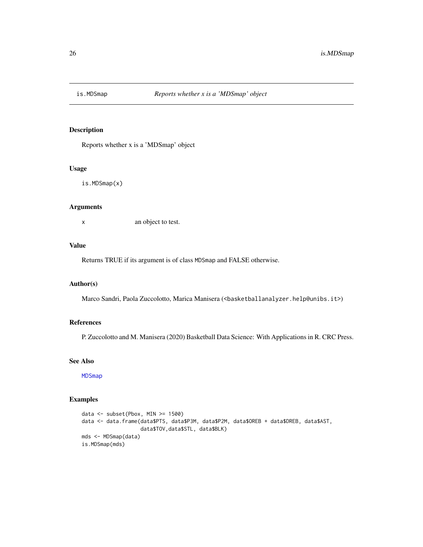<span id="page-25-0"></span>

Reports whether x is a 'MDSmap' object

### Usage

is.MDSmap(x)

#### Arguments

x an object to test.

### Value

Returns TRUE if its argument is of class MDSmap and FALSE otherwise.

#### Author(s)

Marco Sandri, Paola Zuccolotto, Marica Manisera (<br/>basketballanalyzer.help@unibs.it>)

### References

P. Zuccolotto and M. Manisera (2020) Basketball Data Science: With Applications in R. CRC Press.

### See Also

[MDSmap](#page-29-1)

```
data <- subset(Pbox, MIN >= 1500)
data <- data.frame(data$PTS, data$P3M, data$P2M, data$OREB + data$DREB, data$AST,
                  data$TOV,data$STL, data$BLK)
mds <- MDSmap(data)
is.MDSmap(mds)
```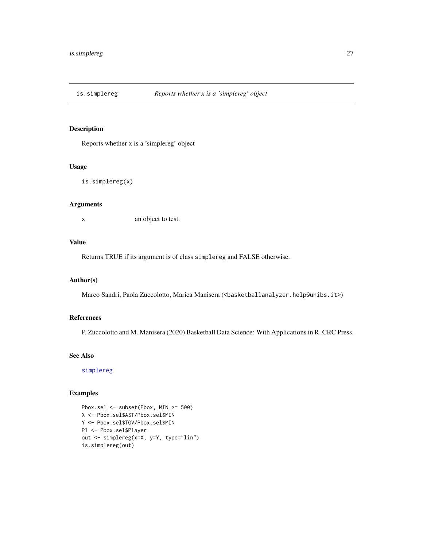<span id="page-26-0"></span>

Reports whether x is a 'simplereg' object

#### Usage

is.simplereg(x)

### Arguments

x an object to test.

### Value

Returns TRUE if its argument is of class simplereg and FALSE otherwise.

### Author(s)

Marco Sandri, Paola Zuccolotto, Marica Manisera (<br/>basketballanalyzer.help@unibs.it>)

### References

P. Zuccolotto and M. Manisera (2020) Basketball Data Science: With Applications in R. CRC Press.

### See Also

[simplereg](#page-55-1)

```
Pbox.sel <- subset(Pbox, MIN >= 500)
X <- Pbox.sel$AST/Pbox.sel$MIN
Y <- Pbox.sel$TOV/Pbox.sel$MIN
Pl <- Pbox.sel$Player
out <- simplereg(x=X, y=Y, type="lin")
is.simplereg(out)
```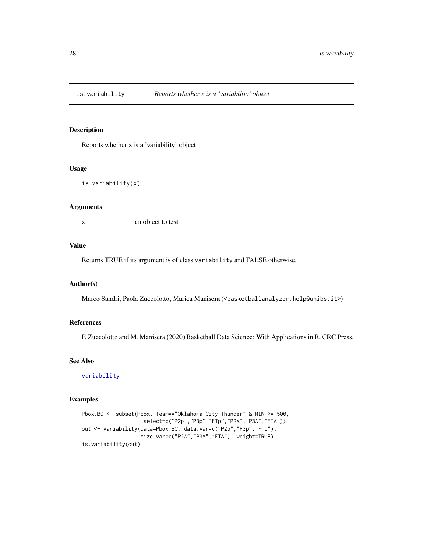<span id="page-27-0"></span>

Reports whether x is a 'variability' object

### Usage

is.variability(x)

#### Arguments

x an object to test.

### Value

Returns TRUE if its argument is of class variability and FALSE otherwise.

### Author(s)

Marco Sandri, Paola Zuccolotto, Marica Manisera (<br/>basketballanalyzer.help@unibs.it>)

### References

P. Zuccolotto and M. Manisera (2020) Basketball Data Science: With Applications in R. CRC Press.

### See Also

[variability](#page-59-1)

```
Pbox.BC <- subset(Pbox, Team=="Oklahoma City Thunder" & MIN >= 500,
                    select=c("P2p","P3p","FTp","P2A","P3A","FTA"))
out <- variability(data=Pbox.BC, data.var=c("P2p","P3p","FTp"),
                   size.var=c("P2A","P3A","FTA"), weight=TRUE)
is.variability(out)
```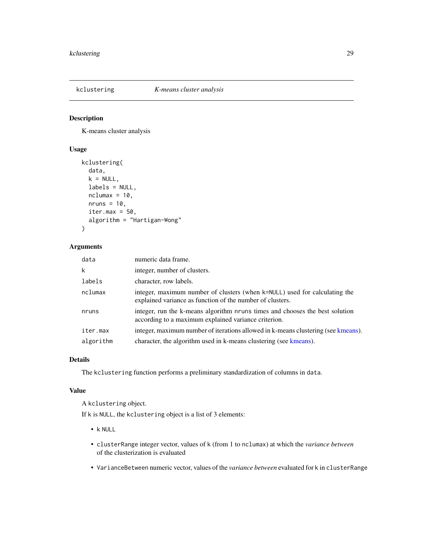<span id="page-28-1"></span><span id="page-28-0"></span>

K-means cluster analysis

### Usage

```
kclustering(
  data,
  k = NULL,labels = NULL,
  nclumax = 10,
  nruns = 10,
  iter.max = 50,
  algorithm = "Hartigan-Wong"
\mathcal{L}
```
### Arguments

| data      | numeric data frame.                                                                                                                     |
|-----------|-----------------------------------------------------------------------------------------------------------------------------------------|
| k         | integer, number of clusters.                                                                                                            |
| labels    | character, row labels.                                                                                                                  |
| nclumax   | integer, maximum number of clusters (when k=NULL) used for calculating the<br>explained variance as function of the number of clusters. |
| nruns     | integer, run the k-means algorithm nruns times and chooses the best solution<br>according to a maximum explained variance criterion.    |
| iter.max  | integer, maximum number of iterations allowed in k-means clustering (see kmeans).                                                       |
| algorithm | character, the algorithm used in k-means clustering (see kmeans).                                                                       |

#### Details

The kclustering function performs a preliminary standardization of columns in data.

### Value

A kclustering object.

If k is NULL, the kclustering object is a list of 3 elements:

- k NULL
- clusterRange integer vector, values of k (from 1 to nclumax) at which the *variance between* of the clusterization is evaluated
- VarianceBetween numeric vector, values of the *variance between* evaluated for k in clusterRange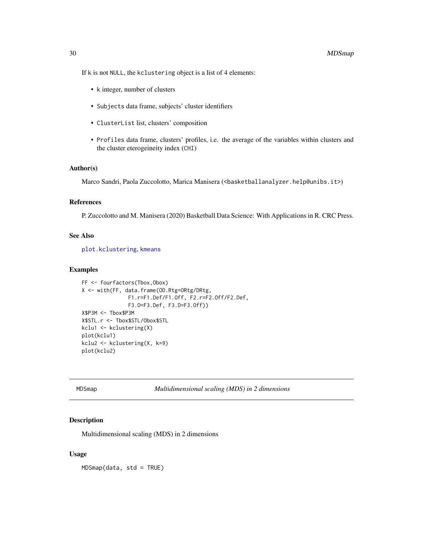<span id="page-29-0"></span>If k is not NULL, the kclustering object is a list of 4 elements:

- k integer, number of clusters
- Subjects data frame, subjects' cluster identifiers
- ClusterList list, clusters' composition
- Profiles data frame, clusters' profiles, i.e. the average of the variables within clusters and the cluster eterogeineity index (CHI)

#### Author(s)

Marco Sandri, Paola Zuccolotto, Marica Manisera (<br/>basketballanalyzer.help@unibs.it>)

#### References

P. Zuccolotto and M. Manisera (2020) Basketball Data Science: With Applications in R. CRC Press.

### See Also

[plot.kclustering](#page-42-1), [kmeans](#page-0-0)

#### Examples

```
FF <- fourfactors(Tbox,Obox)
X <- with(FF, data.frame(OD.Rtg=ORtg/DRtg,
               F1.r=F1.Def/F1.Off, F2.r=F2.Off/F2.Def,
               F3.O=F3.Def, F3.D=F3.Off))
X$P3M <- Tbox$P3M
X$STL.r <- Tbox$STL/Obox$STL
kclu1 <- kclustering(X)
plot(kclu1)
kclu2 <- kclustering(X, k=9)
plot(kclu2)
```
<span id="page-29-1"></span>MDSmap *Multidimensional scaling (MDS) in 2 dimensions*

#### Description

Multidimensional scaling (MDS) in 2 dimensions

#### Usage

MDSmap(data, std = TRUE)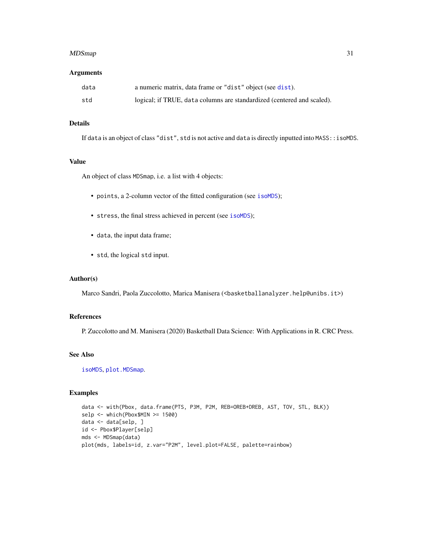#### <span id="page-30-0"></span> $MDS$ map 31

#### **Arguments**

| data | a numeric matrix, data frame or "dist" object (see dist).              |
|------|------------------------------------------------------------------------|
| std  | logical; if TRUE, data columns are standardized (centered and scaled). |

### Details

If data is an object of class "dist", std is not active and data is directly inputted into MASS::isoMDS.

### Value

An object of class MDSmap, i.e. a list with 4 objects:

- points, a 2-column vector of the fitted configuration (see [isoMDS](#page-0-0));
- stress, the final stress achieved in percent (see [isoMDS](#page-0-0));
- data, the input data frame;
- std, the logical std input.

#### Author(s)

Marco Sandri, Paola Zuccolotto, Marica Manisera (<br/>basketballanalyzer.help@unibs.it>)

#### References

P. Zuccolotto and M. Manisera (2020) Basketball Data Science: With Applications in R. CRC Press.

### See Also

[isoMDS](#page-0-0), [plot.MDSmap](#page-43-1).

```
data <- with(Pbox, data.frame(PTS, P3M, P2M, REB=OREB+DREB, AST, TOV, STL, BLK))
selp <- which(Pbox$MIN >= 1500)
data <- data[selp, ]
id <- Pbox$Player[selp]
mds <- MDSmap(data)
plot(mds, labels=id, z.var="P2M", level.plot=FALSE, palette=rainbow)
```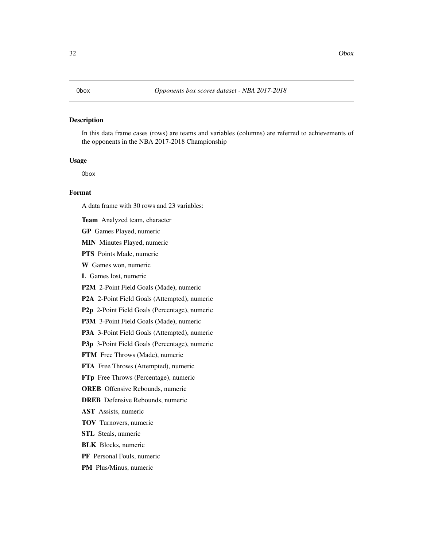<span id="page-31-0"></span>In this data frame cases (rows) are teams and variables (columns) are referred to achievements of the opponents in the NBA 2017-2018 Championship

#### Usage

Obox

### Format

A data frame with 30 rows and 23 variables:

Team Analyzed team, character

GP Games Played, numeric

MIN Minutes Played, numeric

PTS Points Made, numeric

W Games won, numeric

L Games lost, numeric

P2M 2-Point Field Goals (Made), numeric

P2A 2-Point Field Goals (Attempted), numeric

P2p 2-Point Field Goals (Percentage), numeric

P3M 3-Point Field Goals (Made), numeric

P3A 3-Point Field Goals (Attempted), numeric

P3p 3-Point Field Goals (Percentage), numeric

FTM Free Throws (Made), numeric

FTA Free Throws (Attempted), numeric

FTp Free Throws (Percentage), numeric

**OREB** Offensive Rebounds, numeric

DREB Defensive Rebounds, numeric

AST Assists, numeric

TOV Turnovers, numeric

STL Steals, numeric

BLK Blocks, numeric

PF Personal Fouls, numeric

PM Plus/Minus, numeric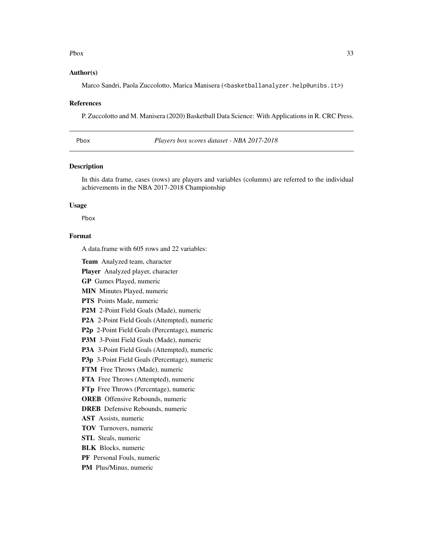#### <span id="page-32-0"></span> $Pbox$  33

#### Author(s)

Marco Sandri, Paola Zuccolotto, Marica Manisera (<br/>basketballanalyzer.help@unibs.it>)

#### References

P. Zuccolotto and M. Manisera (2020) Basketball Data Science: With Applications in R. CRC Press.

Pbox *Players box scores dataset - NBA 2017-2018*

#### Description

In this data frame, cases (rows) are players and variables (columns) are referred to the individual achievements in the NBA 2017-2018 Championship

#### Usage

Pbox

### Format

A data.frame with 605 rows and 22 variables:

Team Analyzed team, character

Player Analyzed player, character

GP Games Played, numeric

MIN Minutes Played, numeric

PTS Points Made, numeric

P2M 2-Point Field Goals (Made), numeric

P2A 2-Point Field Goals (Attempted), numeric

P2p 2-Point Field Goals (Percentage), numeric

P3M 3-Point Field Goals (Made), numeric

P3A 3-Point Field Goals (Attempted), numeric

P3p 3-Point Field Goals (Percentage), numeric

FTM Free Throws (Made), numeric

FTA Free Throws (Attempted), numeric

FTp Free Throws (Percentage), numeric

OREB Offensive Rebounds, numeric

DREB Defensive Rebounds, numeric

AST Assists, numeric

TOV Turnovers, numeric

STL Steals, numeric

- BLK Blocks, numeric
- PF Personal Fouls, numeric

PM Plus/Minus, numeric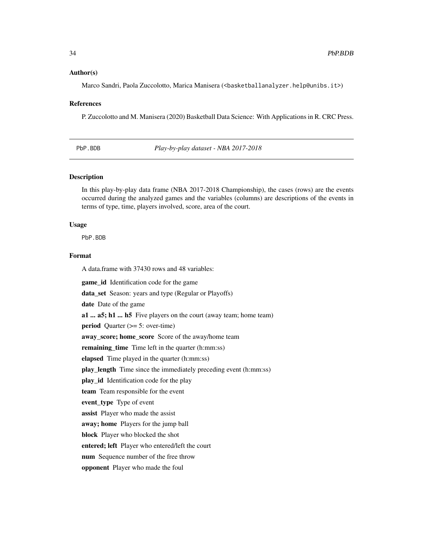#### <span id="page-33-0"></span>Author(s)

Marco Sandri, Paola Zuccolotto, Marica Manisera (<br/>basketballanalyzer.help@unibs.it>)

#### References

P. Zuccolotto and M. Manisera (2020) Basketball Data Science: With Applications in R. CRC Press.

<span id="page-33-1"></span>PbP.BDB *Play-by-play dataset - NBA 2017-2018*

#### Description

In this play-by-play data frame (NBA 2017-2018 Championship), the cases (rows) are the events occurred during the analyzed games and the variables (columns) are descriptions of the events in terms of type, time, players involved, score, area of the court.

### Usage

PbP.BDB

### Format

A data.frame with 37430 rows and 48 variables:

game id Identification code for the game data\_set Season: years and type (Regular or Playoffs) date Date of the game a1 ... a5; h1 ... h5 Five players on the court (away team; home team) period Quarter (>= 5: over-time) away\_score; home\_score Score of the away/home team remaining\_time Time left in the quarter (h:mm:ss) elapsed Time played in the quarter (h:mm:ss) play\_length Time since the immediately preceding event (h:mm:ss) play id Identification code for the play team Team responsible for the event event\_type Type of event assist Player who made the assist away; home Players for the jump ball block Player who blocked the shot entered; left Player who entered/left the court num Sequence number of the free throw opponent Player who made the foul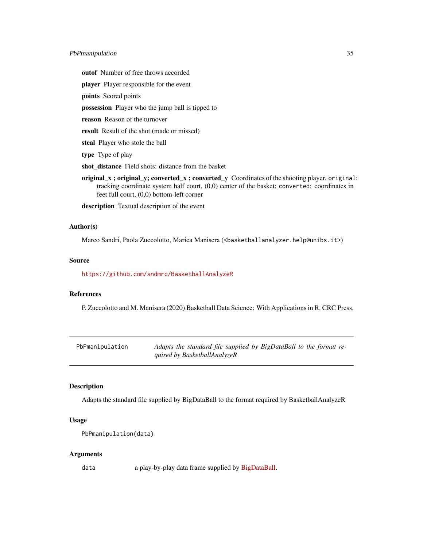#### <span id="page-34-0"></span>PbPmanipulation 35

outof Number of free throws accorded

player Player responsible for the event

points Scored points

possession Player who the jump ball is tipped to

reason Reason of the turnover

result Result of the shot (made or missed)

steal Player who stole the ball

type Type of play

shot\_distance Field shots: distance from the basket

original\_x ; original\_y; converted\_x ; converted\_y Coordinates of the shooting player. original: tracking coordinate system half court, (0,0) center of the basket; converted: coordinates in feet full court, (0,0) bottom-left corner

description Textual description of the event

#### Author(s)

Marco Sandri, Paola Zuccolotto, Marica Manisera (<basketballanalyzer.help@unibs.it>)

#### Source

<https://github.com/sndmrc/BasketballAnalyzeR>

### References

P. Zuccolotto and M. Manisera (2020) Basketball Data Science: With Applications in R. CRC Press.

| PbPmanipulation | Adapts the standard file supplied by BigDataBall to the format re- |
|-----------------|--------------------------------------------------------------------|
|                 | quired by BasketballAnalyzeR                                       |

#### Description

Adapts the standard file supplied by BigDataBall to the format required by BasketballAnalyzeR

### Usage

```
PbPmanipulation(data)
```
#### Arguments

data a play-by-play data frame supplied by [BigDataBall.](https://www.bigdataball.com/)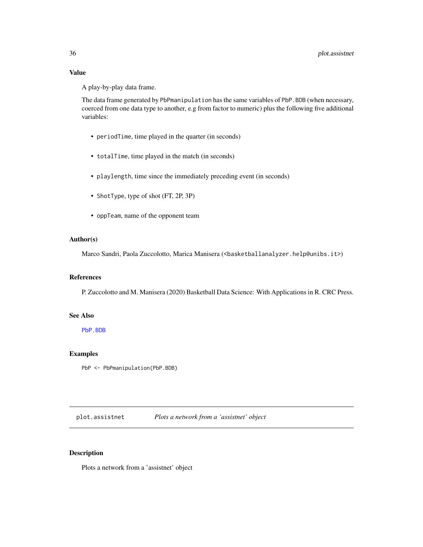### <span id="page-35-0"></span>Value

A play-by-play data frame.

The data frame generated by PbPmanipulation has the same variables of PbP.BDB (when necessary, coerced from one data type to another, e.g from factor to numeric) plus the following five additional variables:

- periodTime, time played in the quarter (in seconds)
- totalTime, time played in the match (in seconds)
- playlength, time since the immediately preceding event (in seconds)
- ShotType, type of shot (FT, 2P, 3P)
- oppTeam, name of the opponent team

### Author(s)

Marco Sandri, Paola Zuccolotto, Marica Manisera (<br/>basketballanalyzer.help@unibs.it>)

### References

P. Zuccolotto and M. Manisera (2020) Basketball Data Science: With Applications in R. CRC Press.

### See Also

[PbP.BDB](#page-33-1)

### Examples

PbP <- PbPmanipulation(PbP.BDB)

plot.assistnet *Plots a network from a 'assistnet' object*

### Description

Plots a network from a 'assistnet' object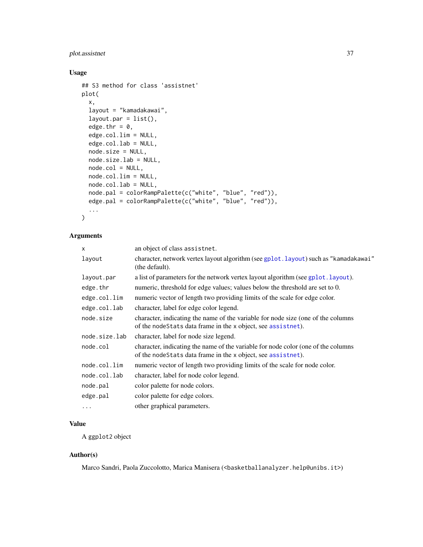### <span id="page-36-0"></span>plot.assistnet 37

### Usage

```
## S3 method for class 'assistnet'
plot(
  x,
  layout = "kamadakawai",
  layout.par = list(),
  edge.thr = 0,
  edge.col.lim = NULL,
  edge.col.lab = NULL,
  node.size = NULL,
  node.size.lab = NULL,
  node.col = NULL,
 node.col.lim = NULL,
  node.col.lab = NULL,
 node.pal = colorRampPalette(c("white", "blue", "red")),
  edge.pal = colorRampPalette(c("white", "blue", "red")),
  ...
\mathcal{L}
```
### Arguments

| X             | an object of class assistnet.                                                                                                                     |  |
|---------------|---------------------------------------------------------------------------------------------------------------------------------------------------|--|
| layout        | character, network vertex layout algorithm (see gplot.layout) such as "kamadakawai"<br>(the default).                                             |  |
| layout.par    | a list of parameters for the network vertex layout algorithm (see gplot. layout).                                                                 |  |
| edge.thr      | numeric, threshold for edge values; values below the threshold are set to 0.                                                                      |  |
| edge.col.lim  | numeric vector of length two providing limits of the scale for edge color.                                                                        |  |
| edge.col.lab  | character, label for edge color legend.                                                                                                           |  |
| node.size     | character, indicating the name of the variable for node size (one of the columns<br>of the nodeStats data frame in the x object, see assistnet).  |  |
| node.size.lab | character, label for node size legend.                                                                                                            |  |
| node.col      | character, indicating the name of the variable for node color (one of the columns<br>of the nodeStats data frame in the x object, see assistnet). |  |
| node.col.lim  | numeric vector of length two providing limits of the scale for node color.                                                                        |  |
| node.col.lab  | character, label for node color legend.                                                                                                           |  |
| node.pal      | color palette for node colors.                                                                                                                    |  |
| edge.pal      | color palette for edge colors.                                                                                                                    |  |
| $\cdots$      | other graphical parameters.                                                                                                                       |  |

### Value

A ggplot2 object

### Author(s)

Marco Sandri, Paola Zuccolotto, Marica Manisera (<br/>basketballanalyzer.help@unibs.it>)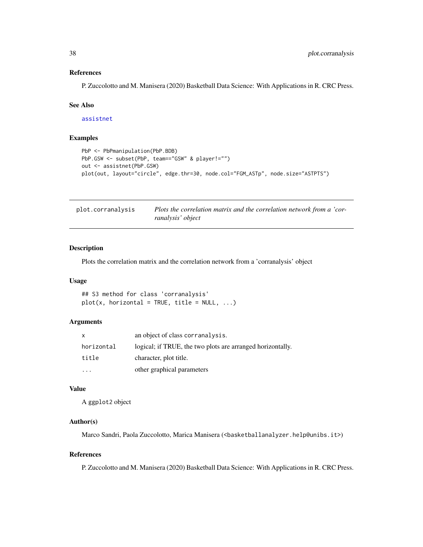#### <span id="page-37-0"></span>References

P. Zuccolotto and M. Manisera (2020) Basketball Data Science: With Applications in R. CRC Press.

#### See Also

[assistnet](#page-2-1)

#### Examples

```
PbP <- PbPmanipulation(PbP.BDB)
PbP.GSW <- subset(PbP, team=="GSW" & player!="")
out <- assistnet(PbP.GSW)
plot(out, layout="circle", edge.thr=30, node.col="FGM_ASTp", node.size="ASTPTS")
```
<span id="page-37-1"></span>

| plot.corranalysis | Plots the correlation matrix and the correlation network from a 'cor- |
|-------------------|-----------------------------------------------------------------------|
|                   | ranalysis' object                                                     |

#### Description

Plots the correlation matrix and the correlation network from a 'corranalysis' object

### Usage

## S3 method for class 'corranalysis'  $plot(x, horizontal = TRUE, title = NULL, ...)$ 

#### Arguments

| x          | an object of class corranalysis.                           |
|------------|------------------------------------------------------------|
| horizontal | logical; if TRUE, the two plots are arranged horizontally. |
| title      | character, plot title.                                     |
|            | other graphical parameters                                 |

### Value

A ggplot2 object

### Author(s)

Marco Sandri, Paola Zuccolotto, Marica Manisera (<br/>basketballanalyzer.help@unibs.it>)

#### References

P. Zuccolotto and M. Manisera (2020) Basketball Data Science: With Applications in R. CRC Press.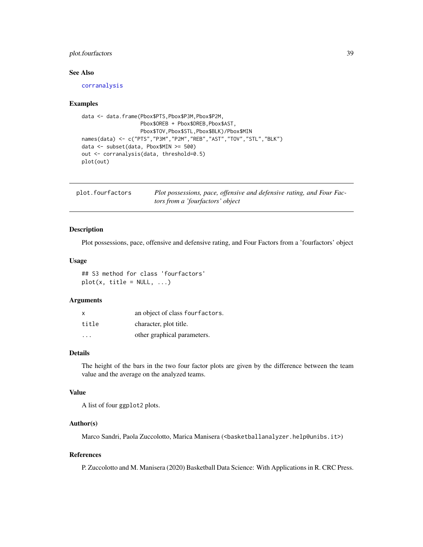### <span id="page-38-0"></span>plot.fourfactors 39

#### See Also

[corranalysis](#page-6-1)

#### Examples

```
data <- data.frame(Pbox$PTS,Pbox$P3M,Pbox$P2M,
                  Pbox$OREB + Pbox$DREB,Pbox$AST,
                   Pbox$TOV,Pbox$STL,Pbox$BLK)/Pbox$MIN
names(data) <- c("PTS","P3M","P2M","REB","AST","TOV","STL","BLK")
data <- subset(data, Pbox$MIN >= 500)
out <- corranalysis(data, threshold=0.5)
plot(out)
```
<span id="page-38-1"></span>

| plot.fourfactors | Plot possessions, pace, offensive and defensive rating, and Four Fac- |
|------------------|-----------------------------------------------------------------------|
|                  | tors from a 'fourfactors' object                                      |

#### Description

Plot possessions, pace, offensive and defensive rating, and Four Factors from a 'fourfactors' object

#### Usage

## S3 method for class 'fourfactors'  $plot(x, title = NULL, ...)$ 

#### Arguments

| $\boldsymbol{\mathsf{x}}$ | an object of class fourfactors. |
|---------------------------|---------------------------------|
| title                     | character, plot title.          |
| $\cdot$ $\cdot$ $\cdot$   | other graphical parameters.     |

### Details

The height of the bars in the two four factor plots are given by the difference between the team value and the average on the analyzed teams.

#### Value

A list of four ggplot2 plots.

#### Author(s)

Marco Sandri, Paola Zuccolotto, Marica Manisera (<br/>basketballanalyzer.help@unibs.it>)

### References

P. Zuccolotto and M. Manisera (2020) Basketball Data Science: With Applications in R. CRC Press.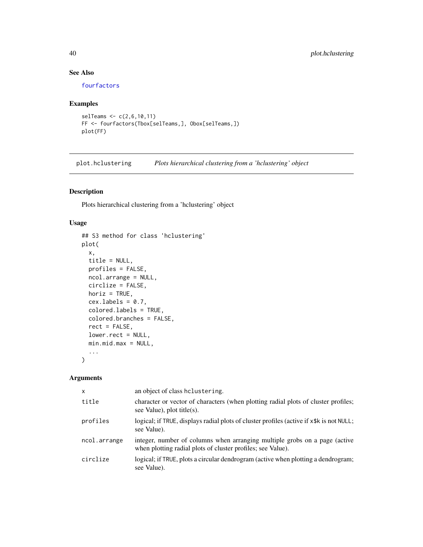### See Also

[fourfactors](#page-14-1)

## Examples

```
selTeams <- c(2,6,10,11)
FF <- fourfactors(Tbox[selTeams,], Obox[selTeams,])
plot(FF)
```
<span id="page-39-1"></span>plot.hclustering *Plots hierarchical clustering from a 'hclustering' object*

### Description

Plots hierarchical clustering from a 'hclustering' object

### Usage

```
## S3 method for class 'hclustering'
plot(
 x,
 title = NULL,
 profiles = FALSE,
 ncol.arrange = NULL,
 circlize = FALSE,
 horiz = TRUE,
  cex.labels = 0.7,colored.labels = TRUE,
  colored.branches = FALSE,
  rect = FALSE,
  lower.rect = NULL,
 min.mid.max = NULL,
  ...
\mathcal{L}
```
### Arguments

| $\mathsf{x}$ | an object of class helustering.                                                                                                           |
|--------------|-------------------------------------------------------------------------------------------------------------------------------------------|
| title        | character or vector of characters (when plotting radial plots of cluster profiles;<br>see Value), plot title(s).                          |
| profiles     | logical; if TRUE, displays radial plots of cluster profiles (active if x\$k is not NULL;<br>see Value).                                   |
| ncol.arrange | integer, number of columns when arranging multiple grobs on a page (active<br>when plotting radial plots of cluster profiles; see Value). |
| circlize     | logical; if TRUE, plots a circular dendrogram (active when plotting a dendrogram;<br>see Value).                                          |

<span id="page-39-0"></span>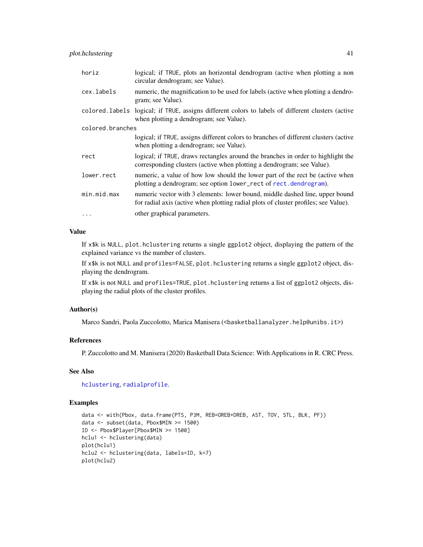<span id="page-40-0"></span>

| horiz            | logical; if TRUE, plots an horizontal dendrogram (active when plotting a non<br>circular dendrogram; see Value).                                                    |
|------------------|---------------------------------------------------------------------------------------------------------------------------------------------------------------------|
| cex.labels       | numeric, the magnification to be used for labels (active when plotting a dendro-<br>gram; see Value).                                                               |
|                  | colored. labels logical; if TRUE, assigns different colors to labels of different clusters (active<br>when plotting a dendrogram; see Value).                       |
| colored.branches |                                                                                                                                                                     |
|                  | logical; if TRUE, assigns different colors to branches of different clusters (active<br>when plotting a dendrogram; see Value).                                     |
| rect             | logical; if TRUE, draws rectangles around the branches in order to highlight the<br>corresponding clusters (active when plotting a dendrogram; see Value).          |
| lower.rect       | numeric, a value of how low should the lower part of the rect be (active when<br>plotting a dendrogram; see option lower_rect of rect.dendrogram).                  |
| min.mid.max      | numeric vector with 3 elements: lower bound, middle dashed line, upper bound<br>for radial axis (active when plotting radial plots of cluster profiles; see Value). |
| $\cdot$          | other graphical parameters.                                                                                                                                         |

### Value

If x\$k is NULL, plot.hclustering returns a single ggplot2 object, displaying the pattern of the explained variance vs the number of clusters.

If x\$k is not NULL and profiles=FALSE, plot.hclustering returns a single ggplot2 object, displaying the dendrogram.

If x\$k is not NULL and profiles=TRUE, plot.hclustering returns a list of ggplot2 objects, displaying the radial plots of the cluster profiles.

#### Author(s)

Marco Sandri, Paola Zuccolotto, Marica Manisera (<br/>basketballanalyzer.help@unibs.it>)

### References

P. Zuccolotto and M. Manisera (2020) Basketball Data Science: With Applications in R. CRC Press.

### See Also

[hclustering](#page-16-1), [radialprofile](#page-48-1).

```
data <- with(Pbox, data.frame(PTS, P3M, REB=OREB+DREB, AST, TOV, STL, BLK, PF))
data <- subset(data, Pbox$MIN >= 1500)
ID <- Pbox$Player[Pbox$MIN >= 1500]
hclu1 <- hclustering(data)
plot(hclu1)
hclu2 <- hclustering(data, labels=ID, k=7)
plot(hclu2)
```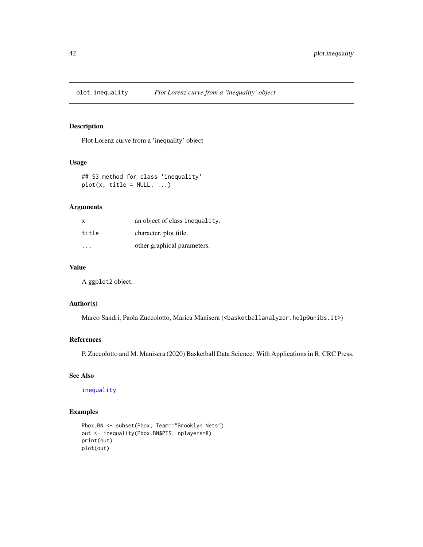<span id="page-41-1"></span><span id="page-41-0"></span>

Plot Lorenz curve from a 'inequality' object

### Usage

## S3 method for class 'inequality'  $plot(x, title = NULL, ...)$ 

### Arguments

| X     | an object of class inequality. |
|-------|--------------------------------|
| title | character, plot title.         |
|       | other graphical parameters.    |

### Value

A ggplot2 object.

### Author(s)

Marco Sandri, Paola Zuccolotto, Marica Manisera (<br/>basketballanalyzer.help@unibs.it>)

### References

P. Zuccolotto and M. Manisera (2020) Basketball Data Science: With Applications in R. CRC Press.

### See Also

[inequality](#page-18-1)

```
Pbox.BN <- subset(Pbox, Team=="Brooklyn Nets")
out <- inequality(Pbox.BN$PTS, nplayers=8)
print(out)
plot(out)
```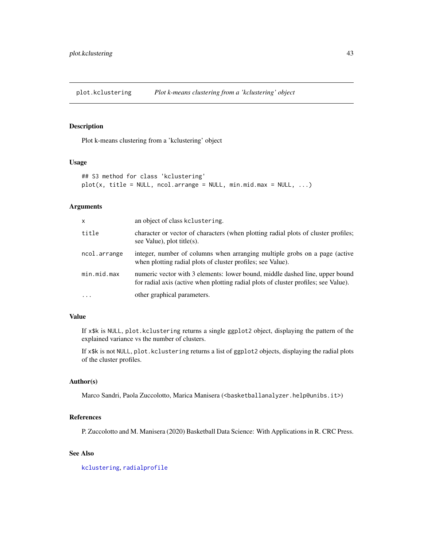<span id="page-42-1"></span><span id="page-42-0"></span>plot.kclustering *Plot k-means clustering from a 'kclustering' object*

### Description

Plot k-means clustering from a 'kclustering' object

### Usage

```
## S3 method for class 'kclustering'
plot(x, title = NULL, ncol.arange = NULL, min.mid.max = NULL, ...)
```
### Arguments

| X            | an object of class kelustering.                                                                                                                                     |
|--------------|---------------------------------------------------------------------------------------------------------------------------------------------------------------------|
| title        | character or vector of characters (when plotting radial plots of cluster profiles;<br>see Value), plot title(s).                                                    |
| ncol.arrange | integer, number of columns when arranging multiple grobs on a page (active<br>when plotting radial plots of cluster profiles; see Value).                           |
| min.mid.max  | numeric vector with 3 elements: lower bound, middle dashed line, upper bound<br>for radial axis (active when plotting radial plots of cluster profiles; see Value). |
| $\cdots$     | other graphical parameters.                                                                                                                                         |

#### Value

If x\$k is NULL, plot.kclustering returns a single ggplot2 object, displaying the pattern of the explained variance vs the number of clusters.

If x\$k is not NULL, plot.kclustering returns a list of ggplot2 objects, displaying the radial plots of the cluster profiles.

### Author(s)

Marco Sandri, Paola Zuccolotto, Marica Manisera (<br/>basketballanalyzer.help@unibs.it>)

#### References

P. Zuccolotto and M. Manisera (2020) Basketball Data Science: With Applications in R. CRC Press.

### See Also

[kclustering](#page-28-1), [radialprofile](#page-48-1)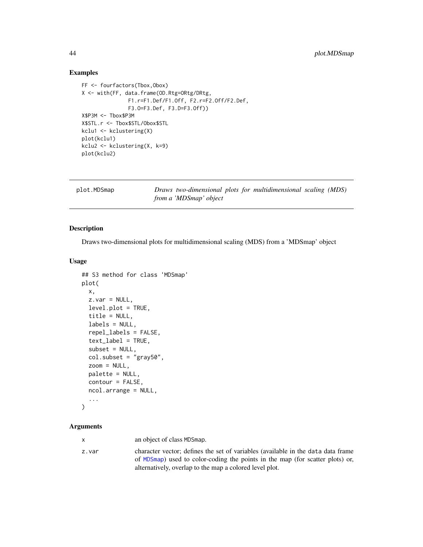#### Examples

```
FF <- fourfactors(Tbox,Obox)
X <- with(FF, data.frame(OD.Rtg=ORtg/DRtg,
               F1.r=F1.Def/F1.Off, F2.r=F2.Off/F2.Def,
               F3.O=F3.Def, F3.D=F3.Off))
X$P3M <- Tbox$P3M
X$STL.r <- Tbox$STL/Obox$STL
kclu1 <- kclustering(X)
plot(kclu1)
kclu2 <- kclustering(X, k=9)
plot(kclu2)
```
<span id="page-43-1"></span>

| plot.MDSmap | Draws two-dimensional plots for multidimensional scaling (MDS) |  |
|-------------|----------------------------------------------------------------|--|
|             | from a 'MDSmap' object                                         |  |

### Description

Draws two-dimensional plots for multidimensional scaling (MDS) from a 'MDSmap' object

### Usage

```
## S3 method for class 'MDSmap'
plot(
  x,
  z.var = NULL,
  level.plot = TRUE,
  title = NULL,
  labels = NULL,
  repel_labels = FALSE,
  text_label = TRUE,
  subset = NULL,col.subset = "gray50",zoom = NULL,
 palette = NULL,
  contour = FALSE,
  ncol.arrange = NULL,
  ...
```

```
)
```
#### Arguments

x an object of class MDSmap.

z.var character vector; defines the set of variables (available in the data data frame of [MDSmap](#page-29-1)) used to color-coding the points in the map (for scatter plots) or, alternatively, overlap to the map a colored level plot.

<span id="page-43-0"></span>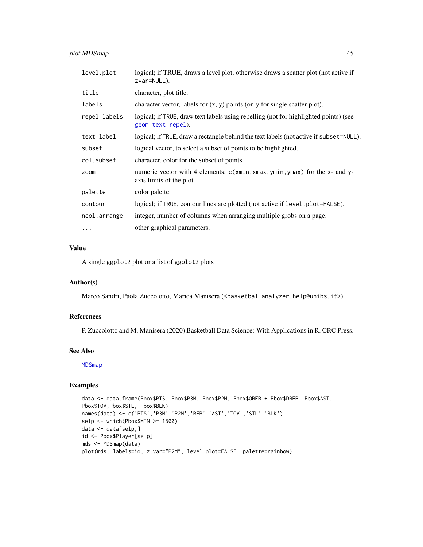### <span id="page-44-0"></span>plot.MDSmap 45

| level.plot   | logical; if TRUE, draws a level plot, otherwise draws a scatter plot (not active if<br>zvar=NULL).        |
|--------------|-----------------------------------------------------------------------------------------------------------|
| title        | character, plot title.                                                                                    |
| labels       | character vector, labels for $(x, y)$ points (only for single scatter plot).                              |
| repel_labels | logical; if TRUE, draw text labels using repelling (not for highlighted points) (see<br>geom_text_repel). |
| text_label   | logical; if TRUE, draw a rectangle behind the text labels (not active if subset=NULL).                    |
| subset       | logical vector, to select a subset of points to be highlighted.                                           |
| col.subset   | character, color for the subset of points.                                                                |
| zoom         | numeric vector with 4 elements; c(xmin, xmax, ymin, ymax) for the x- and y-<br>axis limits of the plot.   |
| palette      | color palette.                                                                                            |
| contour      | logical; if TRUE, contour lines are plotted (not active if level.plot=FALSE).                             |
| ncol.arrange | integer, number of columns when arranging multiple grobs on a page.                                       |
| .            | other graphical parameters.                                                                               |

### Value

A single ggplot2 plot or a list of ggplot2 plots

#### Author(s)

Marco Sandri, Paola Zuccolotto, Marica Manisera (<br/>basketballanalyzer.help@unibs.it>)

#### References

P. Zuccolotto and M. Manisera (2020) Basketball Data Science: With Applications in R. CRC Press.

#### See Also

[MDSmap](#page-29-1)

```
data <- data.frame(Pbox$PTS, Pbox$P3M, Pbox$P2M, Pbox$OREB + Pbox$DREB, Pbox$AST,
Pbox$TOV,Pbox$STL, Pbox$BLK)
names(data) <- c('PTS','P3M','P2M','REB','AST','TOV','STL','BLK')
selp <- which(Pbox$MIN >= 1500)
data <- data[selp,]
id <- Pbox$Player[selp]
mds <- MDSmap(data)
plot(mds, labels=id, z.var="P2M", level.plot=FALSE, palette=rainbow)
```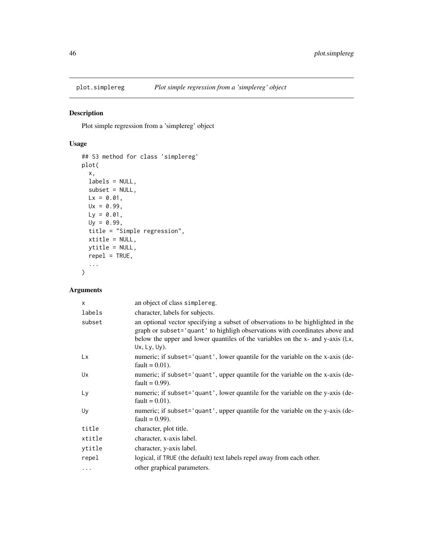<span id="page-45-0"></span>

Plot simple regression from a 'simplereg' object

### Usage

```
## S3 method for class 'simplereg'
plot(
  x,
  labels = NULL,
  subset = NULL,Lx = 0.01,
  Ux = 0.99,
  Ly = 0.01,Uy = 0.99,
  title = "Simple regression",
  xtitle = NULL,
  ytitle = NULL,
  repel = TRUE,...
\mathcal{L}
```
### Arguments

| $\mathsf{x}$ | an object of class simplereg.                                                                                                                                                                                                                                       |
|--------------|---------------------------------------------------------------------------------------------------------------------------------------------------------------------------------------------------------------------------------------------------------------------|
| labels       | character, labels for subjects.                                                                                                                                                                                                                                     |
| subset       | an optional vector specifying a subset of observations to be highlighted in the<br>graph or subset='quant' to highligh observations with coordinates above and<br>below the upper and lower quantiles of the variables on the x- and y-axis (Lx,<br>$Ux, Ly, Uy)$ . |
| Lx           | numeric; if subset='quant', lower quantile for the variable on the x-axis (de-<br>fault = $0.01$ ).                                                                                                                                                                 |
| Ux           | numeric; if subset='quant', upper quantile for the variable on the x-axis (de-<br>fault = $0.99$ ).                                                                                                                                                                 |
| Ly           | numeric; if subset='quant', lower quantile for the variable on the y-axis (de-<br>fault = $0.01$ ).                                                                                                                                                                 |
| Uy           | numeric; if subset='quant', upper quantile for the variable on the y-axis (de-<br>fault = $0.99$ ).                                                                                                                                                                 |
| title        | character, plot title.                                                                                                                                                                                                                                              |
| xtitle       | character, x-axis label.                                                                                                                                                                                                                                            |
| ytitle       | character, y-axis label.                                                                                                                                                                                                                                            |
| repel        | logical, if TRUE (the default) text labels repel away from each other.                                                                                                                                                                                              |
| .            | other graphical parameters.                                                                                                                                                                                                                                         |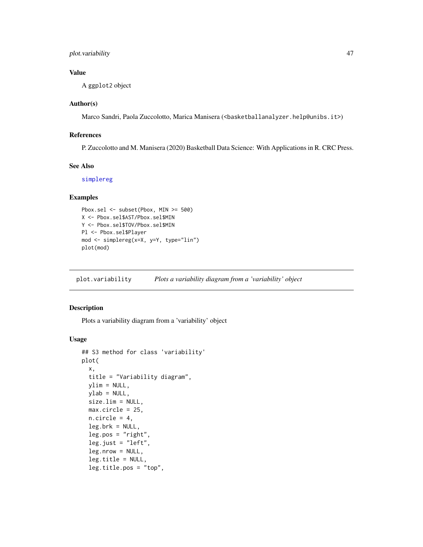### <span id="page-46-0"></span>plot.variability 47

### Value

A ggplot2 object

#### Author(s)

Marco Sandri, Paola Zuccolotto, Marica Manisera (<br/>basketballanalyzer.help@unibs.it>)

### References

P. Zuccolotto and M. Manisera (2020) Basketball Data Science: With Applications in R. CRC Press.

#### See Also

[simplereg](#page-55-1)

### Examples

```
Pbox.sel <- subset(Pbox, MIN >= 500)
X <- Pbox.sel$AST/Pbox.sel$MIN
Y <- Pbox.sel$TOV/Pbox.sel$MIN
Pl <- Pbox.sel$Player
mod <- simplereg(x=X, y=Y, type="lin")
plot(mod)
```
plot.variability *Plots a variability diagram from a 'variability' object*

#### Description

Plots a variability diagram from a 'variability' object

#### Usage

```
## S3 method for class 'variability'
plot(
 x,
  title = "Variability diagram",
 ylim = NULL,
 ylab = NULL,
  size.lim = NULL,
 max.circle = 25,
 n.circle = 4,
  leg.brk = NULL,
  leg.pos = "right",
  leg.just = "left",leg.nrow = NULL,
  leg.title = NULL,
  leg.title.pos = "top",
```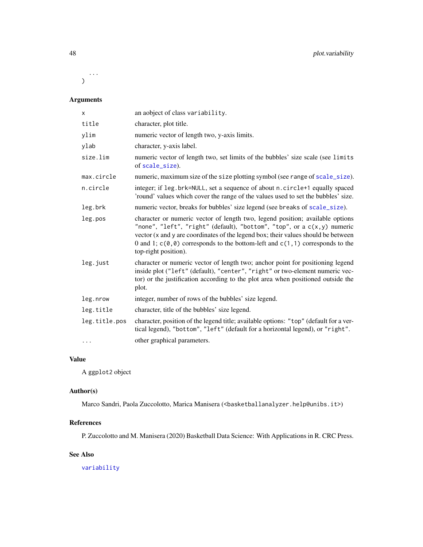<span id="page-47-0"></span>... )

## Arguments

| $\mathsf{x}$  | an aobject of class variability.                                                                                                                                                                                                                                                                                                                             |
|---------------|--------------------------------------------------------------------------------------------------------------------------------------------------------------------------------------------------------------------------------------------------------------------------------------------------------------------------------------------------------------|
| title         | character, plot title.                                                                                                                                                                                                                                                                                                                                       |
| ylim          | numeric vector of length two, y-axis limits.                                                                                                                                                                                                                                                                                                                 |
| ylab          | character, y-axis label.                                                                                                                                                                                                                                                                                                                                     |
| size.lim      | numeric vector of length two, set limits of the bubbles' size scale (see limits<br>of scale_size).                                                                                                                                                                                                                                                           |
| max.circle    | numeric, maximum size of the size plotting symbol (see range of scale_size).                                                                                                                                                                                                                                                                                 |
| n.circle      | integer; if leg.brk=NULL, set a sequence of about n.circle+1 equally spaced<br>'round' values which cover the range of the values used to set the bubbles' size.                                                                                                                                                                                             |
| leg.brk       | numeric vector, breaks for bubbles' size legend (see breaks of scale_size).                                                                                                                                                                                                                                                                                  |
| leg.pos       | character or numeric vector of length two, legend position; available options<br>"none", "left", "right" (default), "bottom", "top", or a $c(x, y)$ numeric<br>vector (x and y are coordinates of the legend box; their values should be between<br>0 and 1; $c(0,0)$ corresponds to the bottom-left and $c(1,1)$ corresponds to the<br>top-right position). |
| leg.just      | character or numeric vector of length two; anchor point for positioning legend<br>inside plot ("left" (default), "center", "right" or two-element numeric vec-<br>tor) or the justification according to the plot area when positioned outside the<br>plot.                                                                                                  |
| leg.nrow      | integer, number of rows of the bubbles' size legend.                                                                                                                                                                                                                                                                                                         |
| leg.title     | character, title of the bubbles' size legend.                                                                                                                                                                                                                                                                                                                |
| leg.title.pos | character, position of the legend title; available options: "top" (default for a ver-<br>tical legend), "bottom", "left" (default for a horizontal legend), or "right".                                                                                                                                                                                      |
| $\cdots$      | other graphical parameters.                                                                                                                                                                                                                                                                                                                                  |

### Value

A ggplot2 object

### Author(s)

Marco Sandri, Paola Zuccolotto, Marica Manisera (<br/>basketballanalyzer.help@unibs.it>)

### References

P. Zuccolotto and M. Manisera (2020) Basketball Data Science: With Applications in R. CRC Press.

### See Also

[variability](#page-59-1)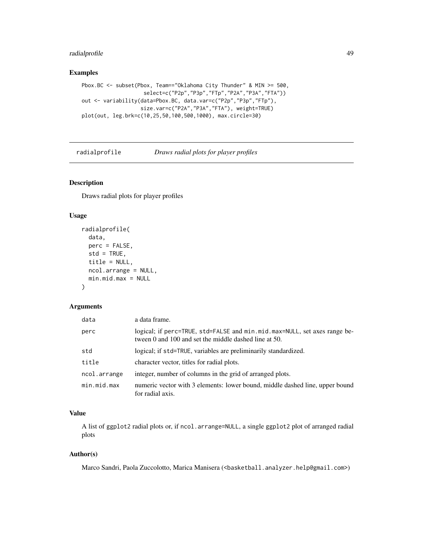### <span id="page-48-0"></span>radialprofile 49

### Examples

```
Pbox.BC <- subset(Pbox, Team=="Oklahoma City Thunder" & MIN >= 500,
                    select=c("P2p","P3p","FTp","P2A","P3A","FTA"))
out <- variability(data=Pbox.BC, data.var=c("P2p","P3p","FTp"),
                   size.var=c("P2A","P3A","FTA"), weight=TRUE)
plot(out, leg.brk=c(10,25,50,100,500,1000), max.circle=30)
```
<span id="page-48-1"></span>

| radialprofile | Draws radial plots for player profiles |
|---------------|----------------------------------------|
|---------------|----------------------------------------|

### Description

Draws radial plots for player profiles

### Usage

```
radialprofile(
  data,
  perc = FALSE,
  std = TRUE,title = NULL,
  ncol.arrange = NULL,
  min.mid.max = NULL
\mathcal{L}
```
#### Arguments

| data         | a data frame.                                                                                                                      |
|--------------|------------------------------------------------------------------------------------------------------------------------------------|
| perc         | logical; if perc=TRUE, std=FALSE and min.mid.max=NULL, set axes range be-<br>tween 0 and 100 and set the middle dashed line at 50. |
| std          | logical; if std=TRUE, variables are preliminarily standardized.                                                                    |
| title        | character vector, titles for radial plots.                                                                                         |
| ncol.arrange | integer, number of columns in the grid of arranged plots.                                                                          |
| min.mid.max  | numeric vector with 3 elements: lower bound, middle dashed line, upper bound<br>for radial axis.                                   |

### Value

A list of ggplot2 radial plots or, if ncol.arrange=NULL, a single ggplot2 plot of arranged radial plots

#### Author(s)

Marco Sandri, Paola Zuccolotto, Marica Manisera (<br/>basketball.analyzer.help@gmail.com>)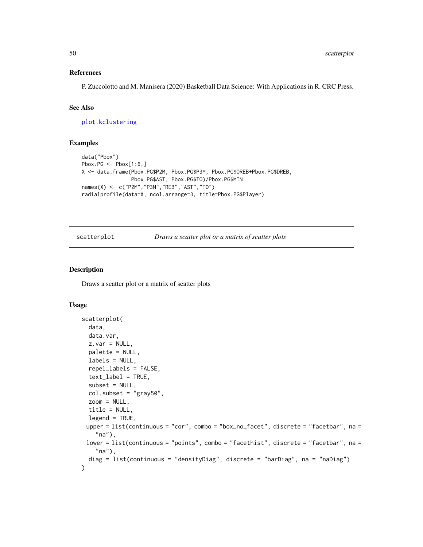#### <span id="page-49-0"></span>References

P. Zuccolotto and M. Manisera (2020) Basketball Data Science: With Applications in R. CRC Press.

### See Also

[plot.kclustering](#page-42-1)

#### Examples

```
data("Pbox")
Pbox.PG \leq Pbox[1:6,]
X <- data.frame(Pbox.PG$P2M, Pbox.PG$P3M, Pbox.PG$OREB+Pbox.PG$DREB,
                Pbox.PG$AST, Pbox.PG$TO)/Pbox.PG$MIN
names(X) <- c("P2M","P3M","REB","AST","TO")
radialprofile(data=X, ncol.arrange=3, title=Pbox.PG$Player)
```
scatterplot *Draws a scatter plot or a matrix of scatter plots*

#### Description

Draws a scatter plot or a matrix of scatter plots

#### Usage

```
scatterplot(
 data,
 data.var,
 z \cdot var = NULL,palette = NULL,
 labels = NULL,
  repel_labels = FALSE,
  text_label = TRUE,
  subset = NULL,col.subset = "gray50",zoom = NULL,
  title = NULL,
 legend = TRUE,upper = list(continuous = "cor", combo = "box-no_facet", discrete = "facetbar", na ="na"),
 lower = list(continuous = "points", combo = "facethist", discrete = "facetbar", na =
    "na"),
 diag = list(continuous = "densityDiag", discrete = "barDiag", na = "naDiag")
)
```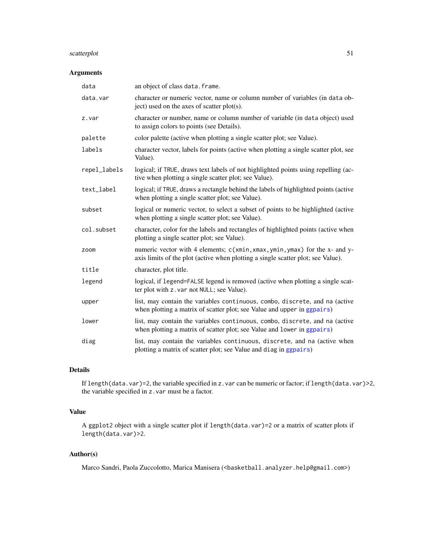### <span id="page-50-0"></span>scatterplot 51

### Arguments

| data         | an object of class data. frame.                                                                                                                                 |
|--------------|-----------------------------------------------------------------------------------------------------------------------------------------------------------------|
| data.var     | character or numeric vector, name or column number of variables (in data ob-<br>ject) used on the axes of scatter plot(s).                                      |
| z.var        | character or number, name or column number of variable (in data object) used<br>to assign colors to points (see Details).                                       |
| palette      | color palette (active when plotting a single scatter plot; see Value).                                                                                          |
| labels       | character vector, labels for points (active when plotting a single scatter plot, see<br>Value).                                                                 |
| repel_labels | logical; if TRUE, draws text labels of not highlighted points using repelling (ac-<br>tive when plotting a single scatter plot; see Value).                     |
| text_label   | logical; if TRUE, draws a rectangle behind the labels of highlighted points (active<br>when plotting a single scatter plot; see Value).                         |
| subset       | logical or numeric vector, to select a subset of points to be highlighted (active<br>when plotting a single scatter plot; see Value).                           |
| col.subset   | character, color for the labels and rectangles of highlighted points (active when<br>plotting a single scatter plot; see Value).                                |
| zoom         | numeric vector with 4 elements; c(xmin, xmax, ymin, ymax) for the x- and y-<br>axis limits of the plot (active when plotting a single scatter plot; see Value). |
| title        | character, plot title.                                                                                                                                          |
| legend       | logical, if legend=FALSE legend is removed (active when plotting a single scat-<br>ter plot with z. var not NULL; see Value).                                   |
| upper        | list, may contain the variables continuous, combo, discrete, and na (active<br>when plotting a matrix of scatter plot; see Value and upper in ggpairs)          |
| lower        | list, may contain the variables continuous, combo, discrete, and na (active<br>when plotting a matrix of scatter plot; see Value and lower in ggpairs)          |
| diag         | list, may contain the variables continuous, discrete, and na (active when<br>plotting a matrix of scatter plot; see Value and diag in ggpairs)                  |

## Details

If length(data.var)=2, the variable specified in z.var can be numeric or factor; if length(data.var)>2, the variable specified in z.var must be a factor.

### Value

A ggplot2 object with a single scatter plot if length(data.var)=2 or a matrix of scatter plots if length(data.var)>2.

### Author(s)

Marco Sandri, Paola Zuccolotto, Marica Manisera (<br/>basketball.analyzer.help@gmail.com>)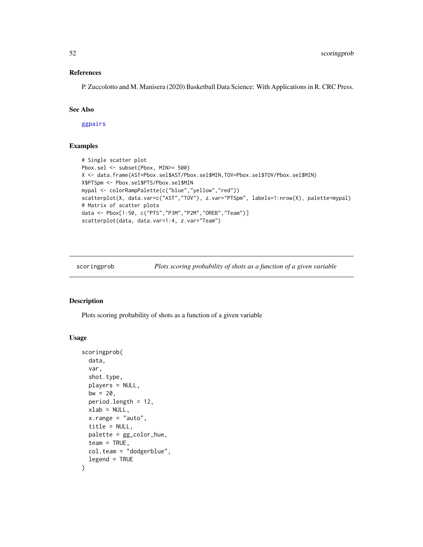#### <span id="page-51-0"></span>References

P. Zuccolotto and M. Manisera (2020) Basketball Data Science: With Applications in R. CRC Press.

#### See Also

[ggpairs](#page-0-0)

#### Examples

```
# Single scatter plot
Pbox.sel <- subset(Pbox, MIN>= 500)
X <- data.frame(AST=Pbox.sel$AST/Pbox.sel$MIN,TOV=Pbox.sel$TOV/Pbox.sel$MIN)
X$PTSpm <- Pbox.sel$PTS/Pbox.sel$MIN
mypal <- colorRampPalette(c("blue","yellow","red"))
scatterplot(X, data.var=c("AST","TOV"), z.var="PTSpm", labels=1:nrow(X), palette=mypal)
# Matrix of scatter plots
data <- Pbox[1:50, c("PTS","P3M","P2M","OREB","Team")]
scatterplot(data, data.var=1:4, z.var="Team")
```
scoringprob *Plots scoring probability of shots as a function of a given variable*

### Description

Plots scoring probability of shots as a function of a given variable

### Usage

```
scoringprob(
  data,
  var,
  shot.type,
 players = NULL,
 bw = 20,
 period.length = 12,
 xlab = NULL,
 x. range = "auto",
  title = NULL,
 palette = gg_color_hue,
  team = TRUE,col.team = "dodgerblue",
  legend = TRUE
)
```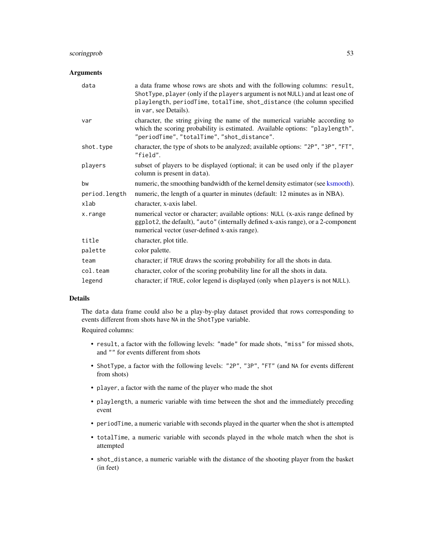### <span id="page-52-0"></span>scoringprob 53

### Arguments

| data          | a data frame whose rows are shots and with the following columns: result,<br>ShotType, player (only if the players argument is not NULL) and at least one of<br>playlength, periodTime, totalTime, shot_distance (the column specified<br>in var, see Details). |
|---------------|-----------------------------------------------------------------------------------------------------------------------------------------------------------------------------------------------------------------------------------------------------------------|
| var           | character, the string giving the name of the numerical variable according to<br>which the scoring probability is estimated. Available options: "playlength",<br>"periodTime", "totalTime", "shot_distance".                                                     |
| shot.type     | character, the type of shots to be analyzed; available options: "2P", "3P", "FT",<br>"field".                                                                                                                                                                   |
| players       | subset of players to be displayed (optional; it can be used only if the player<br>column is present in data).                                                                                                                                                   |
| bw            | numeric, the smoothing bandwidth of the kernel density estimator (see ksmooth).                                                                                                                                                                                 |
| period.length | numeric, the length of a quarter in minutes (default: 12 minutes as in NBA).                                                                                                                                                                                    |
| xlab          | character, x-axis label.                                                                                                                                                                                                                                        |
| x.range       | numerical vector or character; available options: NULL (x-axis range defined by<br>ggplot2, the default), "auto" (internally defined x-axis range), or a 2-component<br>numerical vector (user-defined x-axis range).                                           |
| title         | character, plot title.                                                                                                                                                                                                                                          |
| palette       | color palette.                                                                                                                                                                                                                                                  |
| team          | character; if TRUE draws the scoring probability for all the shots in data.                                                                                                                                                                                     |
| col.team      | character, color of the scoring probability line for all the shots in data.                                                                                                                                                                                     |
| legend        | character; if TRUE, color legend is displayed (only when players is not NULL).                                                                                                                                                                                  |

### Details

The data data frame could also be a play-by-play dataset provided that rows corresponding to events different from shots have NA in the ShotType variable.

Required columns:

- result, a factor with the following levels: "made" for made shots, "miss" for missed shots, and "" for events different from shots
- ShotType, a factor with the following levels: "2P", "3P", "FT" (and NA for events different from shots)
- player, a factor with the name of the player who made the shot
- playlength, a numeric variable with time between the shot and the immediately preceding event
- periodTime, a numeric variable with seconds played in the quarter when the shot is attempted
- totalTime, a numeric variable with seconds played in the whole match when the shot is attempted
- shot\_distance, a numeric variable with the distance of the shooting player from the basket (in feet)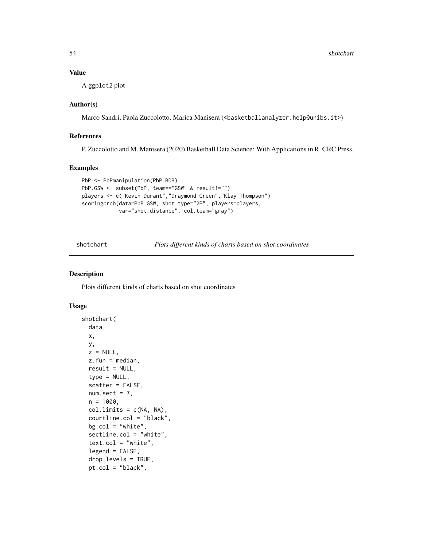### Value

A ggplot2 plot

### Author(s)

Marco Sandri, Paola Zuccolotto, Marica Manisera (<br/>basketballanalyzer.help@unibs.it>)

### References

P. Zuccolotto and M. Manisera (2020) Basketball Data Science: With Applications in R. CRC Press.

### Examples

```
PbP <- PbPmanipulation(PbP.BDB)
PbP.GSW <- subset(PbP, team=="GSW" & result!="")
players <- c("Kevin Durant","Draymond Green","Klay Thompson")
scoringprob(data=PbP.GSW, shot.type="2P", players=players,
            var="shot_distance", col.team="gray")
```
shotchart *Plots different kinds of charts based on shot coordinates*

### Description

Plots different kinds of charts based on shot coordinates

#### Usage

```
shotchart(
 data,
  x,
 y,
 z = NULL,z.fun = median,
 result = NULL,
  type = NULL,scatter = FALSE,
  num.setct = 7,
 n = 1000,col.limits = c(NA, NA),
  courtline.col = "black",
  bg.col = "white",sectline.col = "white",
  text.col = "white",legend = FALSE,
  drop.levels = TRUE,
  pt.col = "black",
```
<span id="page-53-0"></span>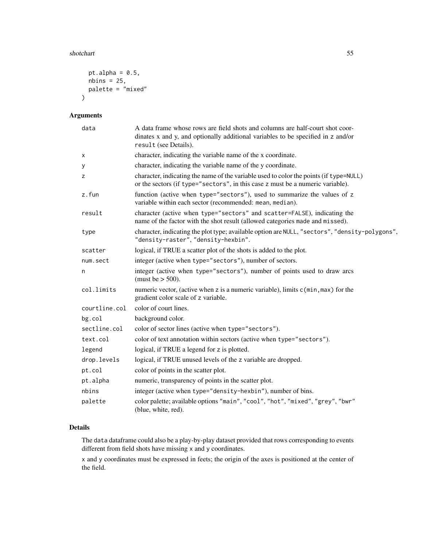#### shotchart 55

```
pt.alpha = 0.5,
  nbins = 25,palette = "mixed"
\mathcal{L}
```
### Arguments

| data          | A data frame whose rows are field shots and columns are half-court shot coor-<br>dinates x and y, and optionally additional variables to be specified in z and/or<br>result (see Details). |
|---------------|--------------------------------------------------------------------------------------------------------------------------------------------------------------------------------------------|
| Χ             | character, indicating the variable name of the x coordinate.                                                                                                                               |
| У             | character, indicating the variable name of the y coordinate.                                                                                                                               |
| z             | character, indicating the name of the variable used to color the points (if type=NULL)<br>or the sectors (if type="sectors", in this case z must be a numeric variable).                   |
| z.fun         | function (active when type="sectors"), used to summarize the values of z<br>variable within each sector (recommended: mean, median).                                                       |
| result        | character (active when type="sectors" and scatter=FALSE), indicating the<br>name of the factor with the shot result (allowed categories made and missed).                                  |
| type          | character, indicating the plot type; available option are NULL, "sectors", "density-polygons",<br>"density-raster", "density-hexbin".                                                      |
| scatter       | logical, if TRUE a scatter plot of the shots is added to the plot.                                                                                                                         |
| num.sect      | integer (active when type="sectors"), number of sectors.                                                                                                                                   |
| n             | integer (active when type="sectors"), number of points used to draw arcs<br>(must be $>$ 500).                                                                                             |
| col.limits    | numeric vector, (active when z is a numeric variable), limits c(min, max) for the<br>gradient color scale of z variable.                                                                   |
| courtline.col | color of court lines.                                                                                                                                                                      |
| bg.col        | background color.                                                                                                                                                                          |
| sectline.col  | color of sector lines (active when type="sectors").                                                                                                                                        |
| text.col      | color of text annotation within sectors (active when type="sectors").                                                                                                                      |
| legend        | logical, if TRUE a legend for z is plotted.                                                                                                                                                |
| drop.levels   | logical, if TRUE unused levels of the z variable are dropped.                                                                                                                              |
| pt.col        | color of points in the scatter plot.                                                                                                                                                       |
| pt.alpha      | numeric, transparency of points in the scatter plot.                                                                                                                                       |
| nbins         | integer (active when type="density-hexbin"), number of bins.                                                                                                                               |
| palette       | color palette; available options "main", "cool", "hot", "mixed", "grey", "bwr"<br>(blue, white, red).                                                                                      |

### Details

The data dataframe could also be a play-by-play dataset provided that rows corresponding to events different from field shots have missing x and y coordinates.

x and y coordinates must be expressed in feets; the origin of the axes is positioned at the center of the field.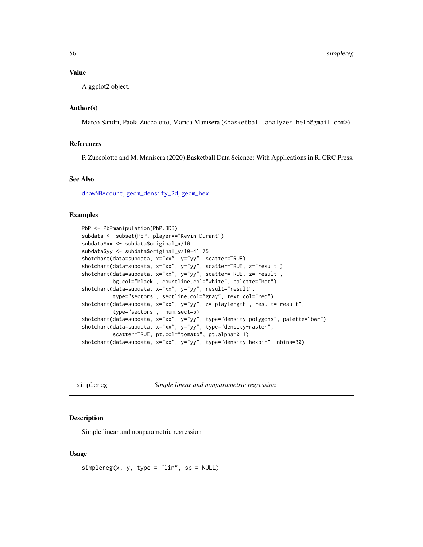#### <span id="page-55-0"></span>Value

A ggplot2 object.

#### Author(s)

Marco Sandri, Paola Zuccolotto, Marica Manisera (<br/>basketball.analyzer.help@gmail.com>)

#### References

P. Zuccolotto and M. Manisera (2020) Basketball Data Science: With Applications in R. CRC Press.

### See Also

[drawNBAcourt](#page-11-1), [geom\\_density\\_2d](#page-0-0), [geom\\_hex](#page-0-0)

#### Examples

```
PbP <- PbPmanipulation(PbP.BDB)
subdata <- subset(PbP, player=="Kevin Durant")
subdata$xx <- subdata$original_x/10
subdata$yy <- subdata$original_y/10-41.75
shotchart(data=subdata, x="xx", y="yy", scatter=TRUE)
shotchart(data=subdata, x="xx", y="yy", scatter=TRUE, z="result")
shotchart(data=subdata, x="xx", y="yy", scatter=TRUE, z="result",
          bg.col="black", courtline.col="white", palette="hot")
shotchart(data=subdata, x="xx", y="yy", result="result",
          type="sectors", sectline.col="gray", text.col="red")
shotchart(data=subdata, x="xx", y="yy", z="playlength", result="result",
          type="sectors", num.sect=5)
shotchart(data=subdata, x="xx", y="yy", type="density-polygons", palette="bwr")
shotchart(data=subdata, x="xx", y="yy", type="density-raster",
          scatter=TRUE, pt.col="tomato", pt.alpha=0.1)
shotchart(data=subdata, x="xx", y="yy", type="density-hexbin", nbins=30)
```
<span id="page-55-1"></span>simplereg *Simple linear and nonparametric regression*

#### Description

Simple linear and nonparametric regression

#### Usage

 $simplereg(x, y, type = "lin", sp = NULL)$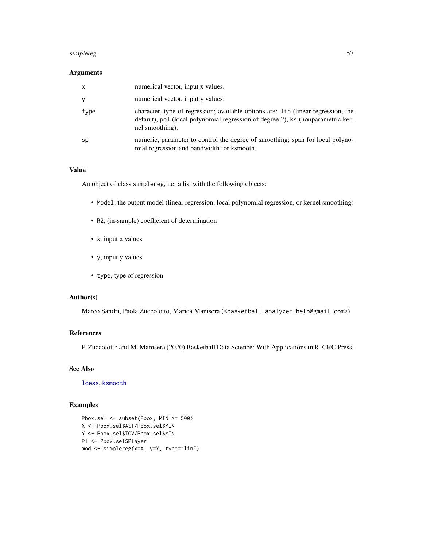#### <span id="page-56-0"></span>simplereg 57

#### Arguments

| X    | numerical vector, input x values.                                                                                                                                                       |
|------|-----------------------------------------------------------------------------------------------------------------------------------------------------------------------------------------|
|      | numerical vector, input y values.                                                                                                                                                       |
| type | character, type of regression; available options are: lin (linear regression, the<br>default), pol (local polynomial regression of degree 2), ks (nonparametric ker-<br>nel smoothing). |
| sp   | numeric, parameter to control the degree of smoothing; span for local polyno-<br>mial regression and bandwidth for ksmooth.                                                             |

#### Value

An object of class simplereg, i.e. a list with the following objects:

- Model, the output model (linear regression, local polynomial regression, or kernel smoothing)
- R2, (in-sample) coefficient of determination
- x, input x values
- y, input y values
- type, type of regression

#### Author(s)

Marco Sandri, Paola Zuccolotto, Marica Manisera (<br/>basketball.analyzer.help@gmail.com>)

### References

P. Zuccolotto and M. Manisera (2020) Basketball Data Science: With Applications in R. CRC Press.

### See Also

[loess](#page-0-0), [ksmooth](#page-0-0)

```
Pbox.sel <- subset(Pbox, MIN >= 500)
X <- Pbox.sel$AST/Pbox.sel$MIN
Y <- Pbox.sel$TOV/Pbox.sel$MIN
Pl <- Pbox.sel$Player
mod <- simplereg(x=X, y=Y, type="lin")
```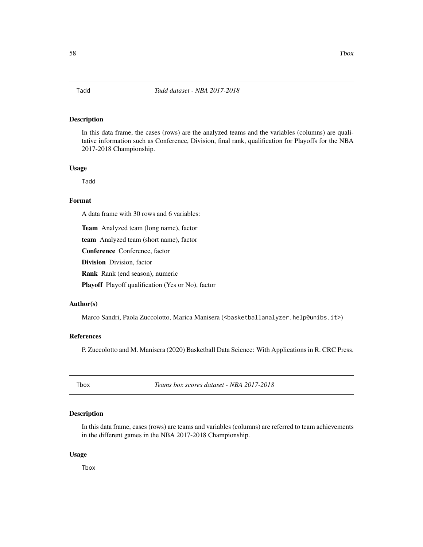<span id="page-57-0"></span>In this data frame, the cases (rows) are the analyzed teams and the variables (columns) are qualitative information such as Conference, Division, final rank, qualification for Playoffs for the NBA 2017-2018 Championship.

#### Usage

Tadd

### Format

A data frame with 30 rows and 6 variables:

Team Analyzed team (long name), factor

team Analyzed team (short name), factor

Conference Conference, factor

Division Division, factor

Rank Rank (end season), numeric

Playoff Playoff qualification (Yes or No), factor

#### Author(s)

Marco Sandri, Paola Zuccolotto, Marica Manisera (<basketballanalyzer.help@unibs.it>)

### References

P. Zuccolotto and M. Manisera (2020) Basketball Data Science: With Applications in R. CRC Press.

Tbox *Teams box scores dataset - NBA 2017-2018*

### Description

In this data frame, cases (rows) are teams and variables (columns) are referred to team achievements in the different games in the NBA 2017-2018 Championship.

#### Usage

Tbox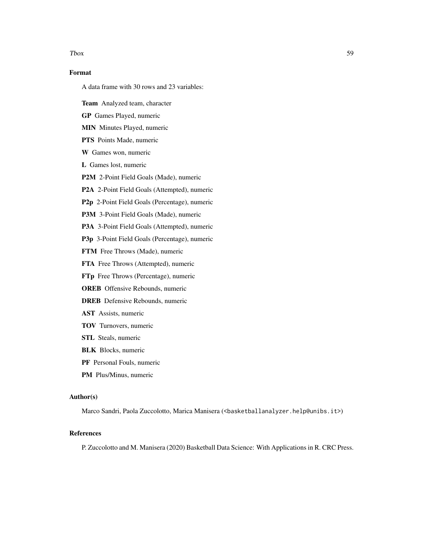#### $T$ box  $59$

### Format

A data frame with 30 rows and 23 variables:

Team Analyzed team, character

GP Games Played, numeric

MIN Minutes Played, numeric

PTS Points Made, numeric

W Games won, numeric

L Games lost, numeric

P2M 2-Point Field Goals (Made), numeric

P2A 2-Point Field Goals (Attempted), numeric

P2p 2-Point Field Goals (Percentage), numeric

P3M 3-Point Field Goals (Made), numeric

P3A 3-Point Field Goals (Attempted), numeric

P3p 3-Point Field Goals (Percentage), numeric

FTM Free Throws (Made), numeric

FTA Free Throws (Attempted), numeric

FTp Free Throws (Percentage), numeric

OREB Offensive Rebounds, numeric

DREB Defensive Rebounds, numeric

AST Assists, numeric

- TOV Turnovers, numeric
- STL Steals, numeric
- BLK Blocks, numeric
- PF Personal Fouls, numeric
- PM Plus/Minus, numeric

#### Author(s)

Marco Sandri, Paola Zuccolotto, Marica Manisera (<br/>basketballanalyzer.help@unibs.it>)

### References

P. Zuccolotto and M. Manisera (2020) Basketball Data Science: With Applications in R. CRC Press.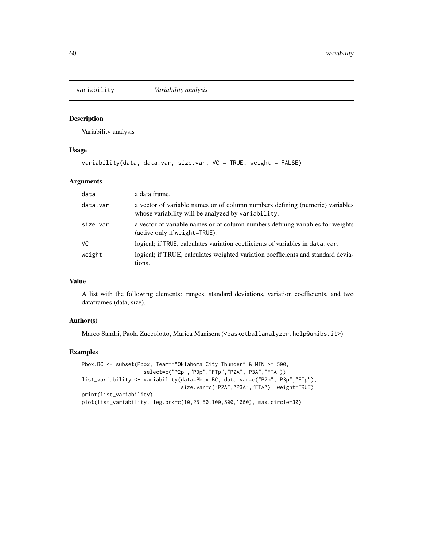<span id="page-59-1"></span><span id="page-59-0"></span>

Variability analysis

#### Usage

```
variability(data, data.var, size.var, VC = TRUE, weight = FALSE)
```
### Arguments

| data     | a data frame.                                                                                                                      |
|----------|------------------------------------------------------------------------------------------------------------------------------------|
| data.var | a vector of variable names or of column numbers defining (numeric) variables<br>whose variability will be analyzed by variability. |
| size.var | a vector of variable names or of column numbers defining variables for weights<br>(active only if weight=TRUE).                    |
| VC.      | logical; if TRUE, calculates variation coefficients of variables in data, var.                                                     |
| weight   | logical; if TRUE, calculates weighted variation coefficients and standard devia-<br>tions.                                         |

### Value

A list with the following elements: ranges, standard deviations, variation coefficients, and two dataframes (data, size).

#### Author(s)

Marco Sandri, Paola Zuccolotto, Marica Manisera (<br/>basketballanalyzer.help@unibs.it>)

```
Pbox.BC <- subset(Pbox, Team=="Oklahoma City Thunder" & MIN >= 500,
                    select=c("P2p","P3p","FTp","P2A","P3A","FTA"))
list_variability <- variability(data=Pbox.BC, data.var=c("P2p","P3p","FTp"),
                                size.var=c("P2A","P3A","FTA"), weight=TRUE)
print(list_variability)
plot(list_variability, leg.brk=c(10,25,50,100,500,1000), max.circle=30)
```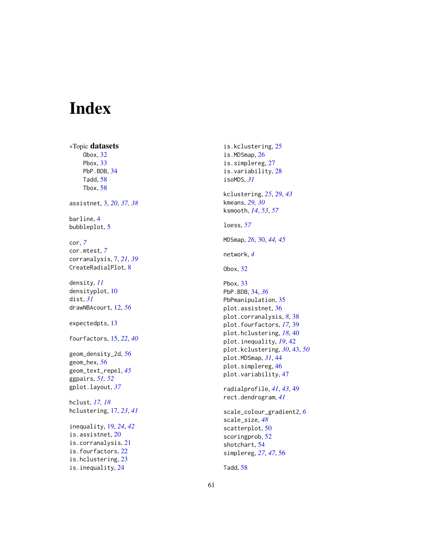# <span id="page-60-0"></span>Index

∗Topic datasets Obox , [32](#page-31-0) Pbox , [33](#page-32-0) PbP.BDB, [34](#page-33-0) Tadd , [58](#page-57-0) Tbox , [58](#page-57-0) assistnet , [3](#page-2-0) , *[20](#page-19-0)* , *[37,](#page-36-0) [38](#page-37-0)* barline , [4](#page-3-0) bubbleplot , [5](#page-4-0) cor , *[7](#page-6-0)* cor.mtest , *[7](#page-6-0)* corranalysis , [7](#page-6-0) , *[21](#page-20-0)* , *[39](#page-38-0)* CreateRadialPlot, [8](#page-7-0) density , *[11](#page-10-0)* densityplot , [10](#page-9-0) dist , *[31](#page-30-0)* drawNBAcourt , [12](#page-11-0) , *[56](#page-55-0)* expectedpts , [13](#page-12-0) fourfactors , [15](#page-14-0) , *[22](#page-21-0)* , *[40](#page-39-0)* geom\_density\_2d , *[56](#page-55-0)* geom\_hex , *[56](#page-55-0)* geom\_text\_repel , *[45](#page-44-0)* ggpairs , *[51](#page-50-0) , [52](#page-51-0)* gplot.layout , *[37](#page-36-0)* hclust , *[17,](#page-16-0) [18](#page-17-0)* hclustering , [17](#page-16-0) , *[23](#page-22-0)* , *[41](#page-40-0)* inequality , [19](#page-18-0) , *[24](#page-23-0)* , *[42](#page-41-0)* is.assistnet, [20](#page-19-0) is.corranalysis , [21](#page-20-0) is.fourfactors , [22](#page-21-0) is.hclustering , [23](#page-22-0) is.inequality , [24](#page-23-0)

is.kclustering , [25](#page-24-0) is.MDSmap , [26](#page-25-0) is.simplereg, [27](#page-26-0) is.variability , [28](#page-27-0) isoMDS , *[31](#page-30-0)* kclustering , *[25](#page-24-0)* , [29](#page-28-0) , *[43](#page-42-0)* kmeans , *[29](#page-28-0) , [30](#page-29-0)* ksmooth , *[14](#page-13-0)* , *[53](#page-52-0)* , *[57](#page-56-0)* loess , *[57](#page-56-0)* MDSmap , *[26](#page-25-0)* , [30](#page-29-0) , *[44](#page-43-0) , [45](#page-44-0)* network , *[4](#page-3-0)* Obox , [32](#page-31-0) Pbox , [33](#page-32-0) PbP.BDB , [34](#page-33-0) , *[36](#page-35-0)* PbPmanipulation , [35](#page-34-0) plot.assistnet , [36](#page-35-0) plot.corranalysis , *[8](#page-7-0)* , [38](#page-37-0) plot.fourfactors , *[17](#page-16-0)* , [39](#page-38-0) plot.hclustering , *[18](#page-17-0)* , [40](#page-39-0) plot.inequality , *[19](#page-18-0)* , [42](#page-41-0) plot.kclustering , *[30](#page-29-0)* , [43](#page-42-0) , *[50](#page-49-0)* plot.MDSmap , *[31](#page-30-0)* , [44](#page-43-0) plot.simplereg , [46](#page-45-0) plot.variability , [47](#page-46-0) radialprofile , *[41](#page-40-0)* , *[43](#page-42-0)* , [49](#page-48-0) rect.dendrogram , *[41](#page-40-0)* scale\_colour\_gradient2 , *[6](#page-5-0)* scale\_size , *[48](#page-47-0)* scatterplot , [50](#page-49-0) scoringprob , [52](#page-51-0) shotchart , [54](#page-53-0) simplereg , *[27](#page-26-0)* , *[47](#page-46-0)* , [56](#page-55-0)

Tadd , [58](#page-57-0)